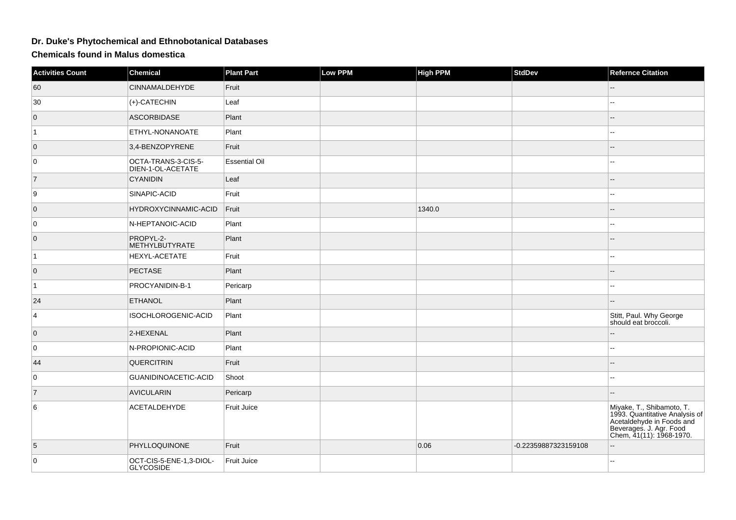## **Dr. Duke's Phytochemical and Ethnobotanical Databases**

**Chemicals found in Malus domestica**

| <b>Activities Count</b> | <b>Chemical</b>                             | <b>Plant Part</b>    | <b>Low PPM</b> | <b>High PPM</b> | <b>StdDev</b>        | <b>Refernce Citation</b>                                                                                                                        |
|-------------------------|---------------------------------------------|----------------------|----------------|-----------------|----------------------|-------------------------------------------------------------------------------------------------------------------------------------------------|
| 60                      | <b>CINNAMALDEHYDE</b>                       | Fruit                |                |                 |                      |                                                                                                                                                 |
| 30                      | (+)-CATECHIN                                | Leaf                 |                |                 |                      | шш.                                                                                                                                             |
| $\overline{0}$          | <b>ASCORBIDASE</b>                          | Plant                |                |                 |                      |                                                                                                                                                 |
| $\vert$ 1               | ETHYL-NONANOATE                             | Plant                |                |                 |                      | $\overline{a}$                                                                                                                                  |
| $\overline{0}$          | 3,4-BENZOPYRENE                             | Fruit                |                |                 |                      |                                                                                                                                                 |
| 0                       | OCTA-TRANS-3-CIS-5-<br>DIEN-1-OL-ACETATE    | <b>Essential Oil</b> |                |                 |                      | ц.                                                                                                                                              |
| $\overline{7}$          | <b>CYANIDIN</b>                             | Leaf                 |                |                 |                      | $-$                                                                                                                                             |
| 9                       | SINAPIC-ACID                                | Fruit                |                |                 |                      |                                                                                                                                                 |
| $\overline{0}$          | HYDROXYCINNAMIC-ACID                        | Fruit                |                | 1340.0          |                      |                                                                                                                                                 |
| 0                       | N-HEPTANOIC-ACID                            | Plant                |                |                 |                      |                                                                                                                                                 |
| $\overline{0}$          | PROPYL-2-<br><b>METHYLBUTYRATE</b>          | Plant                |                |                 |                      |                                                                                                                                                 |
| $\vert$ 1               | HEXYL-ACETATE                               | Fruit                |                |                 |                      | $\sim$                                                                                                                                          |
| $\overline{0}$          | <b>PECTASE</b>                              | Plant                |                |                 |                      |                                                                                                                                                 |
| $\vert$ 1               | PROCYANIDIN-B-1                             | Pericarp             |                |                 |                      | --                                                                                                                                              |
| 24                      | <b>ETHANOL</b>                              | Plant                |                |                 |                      |                                                                                                                                                 |
| 4                       | ISOCHLOROGENIC-ACID                         | Plant                |                |                 |                      | Stitt, Paul. Why George<br>should eat broccoli.                                                                                                 |
| $\overline{0}$          | 2-HEXENAL                                   | Plant                |                |                 |                      |                                                                                                                                                 |
| 0                       | N-PROPIONIC-ACID                            | Plant                |                |                 |                      | Щ,                                                                                                                                              |
| 44                      | QUERCITRIN                                  | Fruit                |                |                 |                      |                                                                                                                                                 |
| 0                       | GUANIDINOACETIC-ACID                        | Shoot                |                |                 |                      | $=$                                                                                                                                             |
| $\overline{7}$          | <b>AVICULARIN</b>                           | Pericarp             |                |                 |                      |                                                                                                                                                 |
| 6                       | ACETALDEHYDE                                | Fruit Juice          |                |                 |                      | Miyake, T., Shibamoto, T.<br>1993. Quantitative Analysis of<br>Acetaldehyde in Foods and<br>Beverages. J. Agr. Food<br>Chem, 41(11): 1968-1970. |
| 5                       | PHYLLOQUINONE                               | Fruit                |                | 0.06            | -0.22359887323159108 |                                                                                                                                                 |
| 0                       | OCT-CIS-5-ENE-1,3-DIOL-<br><b>GLYCOSIDE</b> | <b>Fruit Juice</b>   |                |                 |                      | --                                                                                                                                              |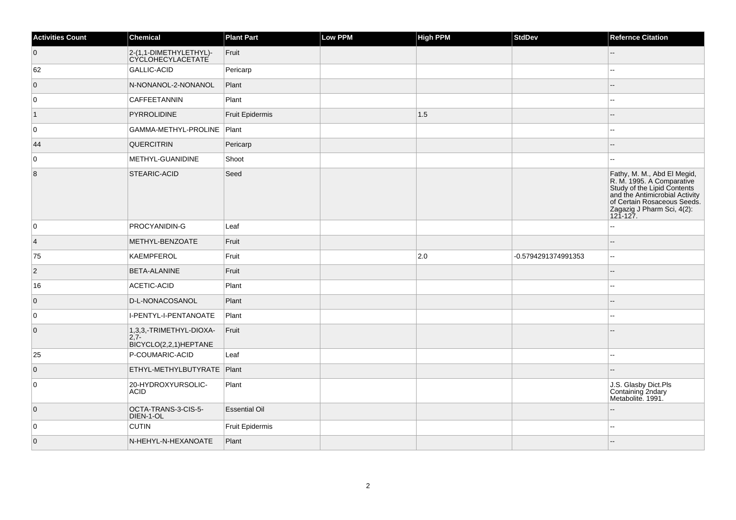| <b>Activities Count</b> | Chemical                                                   | <b>Plant Part</b>      | Low PPM | <b>High PPM</b> | StdDev              | <b>Refernce Citation</b>                                                                                                                                                                           |
|-------------------------|------------------------------------------------------------|------------------------|---------|-----------------|---------------------|----------------------------------------------------------------------------------------------------------------------------------------------------------------------------------------------------|
| $\overline{0}$          | 2-(1,1-DIMETHYLETHYL)-<br>CYCLOHECYLACETATE                | Fruit                  |         |                 |                     |                                                                                                                                                                                                    |
| 62                      | GALLIC-ACID                                                | Pericarp               |         |                 |                     |                                                                                                                                                                                                    |
| $\overline{0}$          | N-NONANOL-2-NONANOL                                        | Plant                  |         |                 |                     |                                                                                                                                                                                                    |
| $\overline{0}$          | CAFFEETANNIN                                               | Plant                  |         |                 |                     | $\sim$ $\sim$                                                                                                                                                                                      |
| $\vert$ 1               | <b>PYRROLIDINE</b>                                         | <b>Fruit Epidermis</b> |         | 1.5             |                     | ш,                                                                                                                                                                                                 |
| 0                       | GAMMA-METHYL-PROLINE   Plant                               |                        |         |                 |                     | --                                                                                                                                                                                                 |
| 44                      | QUERCITRIN                                                 | Pericarp               |         |                 |                     |                                                                                                                                                                                                    |
| $\overline{0}$          | METHYL-GUANIDINE                                           | Shoot                  |         |                 |                     |                                                                                                                                                                                                    |
| 8                       | STEARIC-ACID                                               | Seed                   |         |                 |                     | Fathy, M. M., Abd El Megid,<br>R. M. 1995. A Comparative<br>Study of the Lipid Contents<br>and the Antimicrobial Activity<br>of Certain Rosaceous Seeds.<br>Zagazig J Pharm Sci, 4(2):<br>121-127. |
| 0                       | PROCYANIDIN-G                                              | Leaf                   |         |                 |                     | --                                                                                                                                                                                                 |
| $\vert$ 4               | METHYL-BENZOATE                                            | Fruit                  |         |                 |                     |                                                                                                                                                                                                    |
| 75                      | KAEMPFEROL                                                 | Fruit                  |         | $ 2.0\rangle$   | -0.5794291374991353 | $\overline{\phantom{a}}$                                                                                                                                                                           |
| $ 2\rangle$             | <b>BETA-ALANINE</b>                                        | Fruit                  |         |                 |                     |                                                                                                                                                                                                    |
| 16                      | ACETIC-ACID                                                | Plant                  |         |                 |                     | Щ,                                                                                                                                                                                                 |
| $\overline{0}$          | D-L-NONACOSANOL                                            | Plant                  |         |                 |                     |                                                                                                                                                                                                    |
| 0                       | I-PENTYL-I-PENTANOATE                                      | Plant                  |         |                 |                     | --                                                                                                                                                                                                 |
| $\overline{0}$          | 1,3,3,-TRIMETHYL-DIOXA-<br>$2,7-$<br>BICYCLO(2,2,1)HEPTANE | Fruit                  |         |                 |                     |                                                                                                                                                                                                    |
| 25                      | P-COUMARIC-ACID                                            | Leaf                   |         |                 |                     | --                                                                                                                                                                                                 |
| $\overline{0}$          | ETHYL-METHYLBUTYRATE                                       | Plant                  |         |                 |                     |                                                                                                                                                                                                    |
| $\overline{0}$          | 20-HYDROXYURSOLIC-<br><b>ACID</b>                          | Plant                  |         |                 |                     | J.S. Glasby Dict.Pls<br>Containing 2ndary<br>Metabolite. 1991.                                                                                                                                     |
| $\overline{0}$          | OCTA-TRANS-3-CIS-5-<br>DIEN-1-OL                           | <b>Essential Oil</b>   |         |                 |                     |                                                                                                                                                                                                    |
| $\overline{0}$          | <b>CUTIN</b>                                               | <b>Fruit Epidermis</b> |         |                 |                     |                                                                                                                                                                                                    |
| $\overline{0}$          | N-HEHYL-N-HEXANOATE                                        | Plant                  |         |                 |                     |                                                                                                                                                                                                    |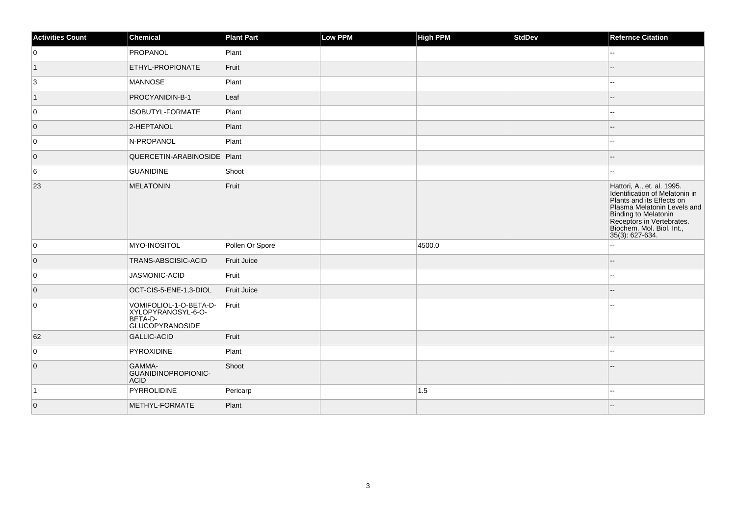| <b>Activities Count</b> | Chemical                                                                          | <b>Plant Part</b>  | Low PPM | <b>High PPM</b> | <b>StdDev</b> | <b>Refernce Citation</b>                                                                                                                                                                                                      |
|-------------------------|-----------------------------------------------------------------------------------|--------------------|---------|-----------------|---------------|-------------------------------------------------------------------------------------------------------------------------------------------------------------------------------------------------------------------------------|
| 0                       | PROPANOL                                                                          | Plant              |         |                 |               | $\sim$                                                                                                                                                                                                                        |
| $\vert$ 1               | ETHYL-PROPIONATE                                                                  | Fruit              |         |                 |               |                                                                                                                                                                                                                               |
| 3                       | <b>MANNOSE</b>                                                                    | Plant              |         |                 |               | ÷÷                                                                                                                                                                                                                            |
| $\vert$ 1               | PROCYANIDIN-B-1                                                                   | Leaf               |         |                 |               |                                                                                                                                                                                                                               |
| 0                       | ISOBUTYL-FORMATE                                                                  | Plant              |         |                 |               | ٠.                                                                                                                                                                                                                            |
| $\overline{0}$          | 2-HEPTANOL                                                                        | Plant              |         |                 |               |                                                                                                                                                                                                                               |
| 0                       | N-PROPANOL                                                                        | Plant              |         |                 |               | 44                                                                                                                                                                                                                            |
| $\overline{0}$          | QUERCETIN-ARABINOSIDE   Plant                                                     |                    |         |                 |               |                                                                                                                                                                                                                               |
| 6                       | <b>GUANIDINE</b>                                                                  | Shoot              |         |                 |               | --                                                                                                                                                                                                                            |
| 23                      | <b>MELATONIN</b>                                                                  | Fruit              |         |                 |               | Hattori, A., et. al. 1995.<br>Identification of Melatonin in<br>Plants and its Effects on<br>Plasma Melatonin Levels and<br>Binding to Melatonin<br>Receptors in Vertebrates.<br>Biochem. Mol. Biol. Int.,<br>35(3): 627-634. |
| 0                       | MYO-INOSITOL                                                                      | Pollen Or Spore    |         | 4500.0          |               | ÷÷                                                                                                                                                                                                                            |
| $\overline{0}$          | TRANS-ABSCISIC-ACID                                                               | <b>Fruit Juice</b> |         |                 |               |                                                                                                                                                                                                                               |
| 0                       | JASMONIC-ACID                                                                     | Fruit              |         |                 |               |                                                                                                                                                                                                                               |
| $\overline{0}$          | OCT-CIS-5-ENE-1,3-DIOL                                                            | <b>Fruit Juice</b> |         |                 |               |                                                                                                                                                                                                                               |
| $\overline{0}$          | VOMIFOLIOL-1-O-BETA-D-<br>XYLOPYRANOSYL-6-O-<br>BETA-D-<br><b>GLUCOPYRANOSIDE</b> | Fruit              |         |                 |               | 44                                                                                                                                                                                                                            |
| 62                      | <b>GALLIC-ACID</b>                                                                | Fruit              |         |                 |               |                                                                                                                                                                                                                               |
| $\overline{0}$          | PYROXIDINE                                                                        | Plant              |         |                 |               | шш.                                                                                                                                                                                                                           |
| $\overline{0}$          | GAMMA-<br>GUANIDINOPROPIONIC-<br><b>ACID</b>                                      | Shoot              |         |                 |               | --                                                                                                                                                                                                                            |
| $\vert$ 1               | PYRROLIDINE                                                                       | Pericarp           |         | 1.5             |               | ÷÷                                                                                                                                                                                                                            |
| $\overline{0}$          | METHYL-FORMATE                                                                    | Plant              |         |                 |               |                                                                                                                                                                                                                               |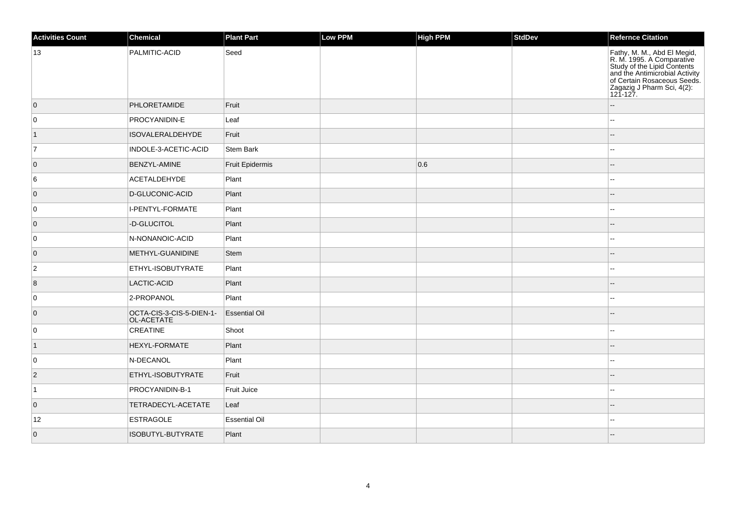| <b>Activities Count</b> | Chemical                               | Plant Part           | <b>Low PPM</b> | High PPM | <b>StdDev</b> | Refernce Citation                                                                                                                                                                                  |
|-------------------------|----------------------------------------|----------------------|----------------|----------|---------------|----------------------------------------------------------------------------------------------------------------------------------------------------------------------------------------------------|
| 13                      | PALMITIC-ACID                          | Seed                 |                |          |               | Fathy, M. M., Abd El Megid,<br>R. M. 1995. A Comparative<br>Study of the Lipid Contents<br>and the Antimicrobial Activity<br>of Certain Rosaceous Seeds.<br>Zagazig J Pharm Sci, 4(2):<br>121-127. |
| $\overline{0}$          | PHLORETAMIDE                           | Fruit                |                |          |               |                                                                                                                                                                                                    |
| 0                       | PROCYANIDIN-E                          | Leaf                 |                |          |               |                                                                                                                                                                                                    |
| $\vert$ 1               | <b>ISOVALERALDEHYDE</b>                | Fruit                |                |          |               |                                                                                                                                                                                                    |
| 7                       | INDOLE-3-ACETIC-ACID                   | Stem Bark            |                |          |               |                                                                                                                                                                                                    |
| $\overline{0}$          | <b>BENZYL-AMINE</b>                    | Fruit Epidermis      |                | 0.6      |               | н.                                                                                                                                                                                                 |
| 6                       | <b>ACETALDEHYDE</b>                    | Plant                |                |          |               | $\overline{\phantom{a}}$                                                                                                                                                                           |
| $\overline{0}$          | D-GLUCONIC-ACID                        | Plant                |                |          |               |                                                                                                                                                                                                    |
| $\overline{0}$          | I-PENTYL-FORMATE                       | Plant                |                |          |               |                                                                                                                                                                                                    |
| 0                       | -D-GLUCITOL                            | Plant                |                |          |               |                                                                                                                                                                                                    |
| 0                       | N-NONANOIC-ACID                        | Plant                |                |          |               |                                                                                                                                                                                                    |
| $\overline{0}$          | METHYL-GUANIDINE                       | Stem                 |                |          |               |                                                                                                                                                                                                    |
| $ 2\rangle$             | ETHYL-ISOBUTYRATE                      | Plant                |                |          |               |                                                                                                                                                                                                    |
| 8                       | LACTIC-ACID                            | Plant                |                |          |               |                                                                                                                                                                                                    |
| 0                       | 2-PROPANOL                             | Plant                |                |          |               |                                                                                                                                                                                                    |
| $\overline{0}$          | OCTA-CIS-3-CIS-5-DIEN-1-<br>OL-ACETATE | <b>Essential Oil</b> |                |          |               |                                                                                                                                                                                                    |
| 0                       | <b>CREATINE</b>                        | Shoot                |                |          |               | $\overline{a}$                                                                                                                                                                                     |
| $\vert$ 1               | HEXYL-FORMATE                          | Plant                |                |          |               |                                                                                                                                                                                                    |
| 0                       | N-DECANOL                              | Plant                |                |          |               | $\sim$ $\sim$                                                                                                                                                                                      |
| $\vert$ 2               | ETHYL-ISOBUTYRATE                      | Fruit                |                |          |               |                                                                                                                                                                                                    |
| $\vert$ 1               | PROCYANIDIN-B-1                        | Fruit Juice          |                |          |               |                                                                                                                                                                                                    |
| $\overline{0}$          | TETRADECYL-ACETATE                     | Leaf                 |                |          |               |                                                                                                                                                                                                    |
| 12                      | <b>ESTRAGOLE</b>                       | <b>Essential Oil</b> |                |          |               |                                                                                                                                                                                                    |
| $\overline{0}$          | ISOBUTYL-BUTYRATE                      | Plant                |                |          |               |                                                                                                                                                                                                    |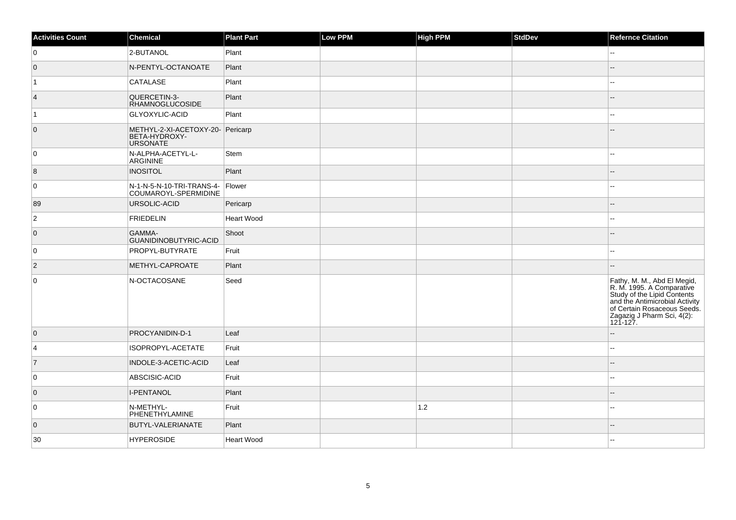| <b>Activities Count</b> | Chemical                                                             | <b>Plant Part</b> | Low PPM | <b>High PPM</b> | <b>StdDev</b> | <b>Refernce Citation</b>                                                                                                                                                                           |
|-------------------------|----------------------------------------------------------------------|-------------------|---------|-----------------|---------------|----------------------------------------------------------------------------------------------------------------------------------------------------------------------------------------------------|
| 0                       | 2-BUTANOL                                                            | Plant             |         |                 |               | --                                                                                                                                                                                                 |
| $\overline{0}$          | N-PENTYL-OCTANOATE                                                   | Plant             |         |                 |               | $-$                                                                                                                                                                                                |
| $\overline{1}$          | CATALASE                                                             | Plant             |         |                 |               | $-1$                                                                                                                                                                                               |
| $\vert 4 \vert$         | QUERCETIN-3-<br><b>RHAMNOGLUCOSIDE</b>                               | Plant             |         |                 |               |                                                                                                                                                                                                    |
| $\vert$ 1               | GLYOXYLIC-ACID                                                       | Plant             |         |                 |               |                                                                                                                                                                                                    |
| $\overline{0}$          | METHYL-2-XI-ACETOXY-20- Pericarp<br>BETA-HYDROXY-<br><b>URSONATE</b> |                   |         |                 |               |                                                                                                                                                                                                    |
| 0                       | N-ALPHA-ACETYL-L-<br>ARGININE                                        | Stem              |         |                 |               | ۵.                                                                                                                                                                                                 |
| 8                       | <b>INOSITOL</b>                                                      | Plant             |         |                 |               | --                                                                                                                                                                                                 |
| 0                       | N-1-N-5-N-10-TRI-TRANS-4- Flower<br>COUMAROYL-SPERMIDINE             |                   |         |                 |               | --                                                                                                                                                                                                 |
| 89                      | URSOLIC-ACID                                                         | Pericarp          |         |                 |               | --                                                                                                                                                                                                 |
| $\overline{2}$          | <b>FRIEDELIN</b>                                                     | <b>Heart Wood</b> |         |                 |               | --                                                                                                                                                                                                 |
| $\overline{0}$          | GAMMA-<br>GUANIDINOBUTYRIC-ACID                                      | Shoot             |         |                 |               | $-$                                                                                                                                                                                                |
| $\overline{0}$          | PROPYL-BUTYRATE                                                      | Fruit             |         |                 |               | $\overline{\phantom{a}}$                                                                                                                                                                           |
| $ 2\rangle$             | METHYL-CAPROATE                                                      | Plant             |         |                 |               | --                                                                                                                                                                                                 |
| $\overline{0}$          | N-OCTACOSANE                                                         | Seed              |         |                 |               | Fathy, M. M., Abd El Megid,<br>R. M. 1995. A Comparative<br>Study of the Lipid Contents<br>and the Antimicrobial Activity<br>of Certain Rosaceous Seeds.<br>Zagazig J Pharm Sci, 4(2):<br>121-127. |
| $\overline{0}$          | PROCYANIDIN-D-1                                                      | Leaf              |         |                 |               | --                                                                                                                                                                                                 |
| 4                       | ISOPROPYL-ACETATE                                                    | Fruit             |         |                 |               | $\overline{\phantom{a}}$                                                                                                                                                                           |
| $\overline{7}$          | INDOLE-3-ACETIC-ACID                                                 | Leaf              |         |                 |               | --                                                                                                                                                                                                 |
| 0                       | ABSCISIC-ACID                                                        | Fruit             |         |                 |               | 44                                                                                                                                                                                                 |
| $\overline{0}$          | <b>I-PENTANOL</b>                                                    | Plant             |         |                 |               | $- -$                                                                                                                                                                                              |
| 0                       | N-METHYL-<br>PHENETHYLAMINE                                          | Fruit             |         | $1.2$           |               | --                                                                                                                                                                                                 |
| $\overline{0}$          | BUTYL-VALERIANATE                                                    | Plant             |         |                 |               |                                                                                                                                                                                                    |
| 30                      | <b>HYPEROSIDE</b>                                                    | Heart Wood        |         |                 |               |                                                                                                                                                                                                    |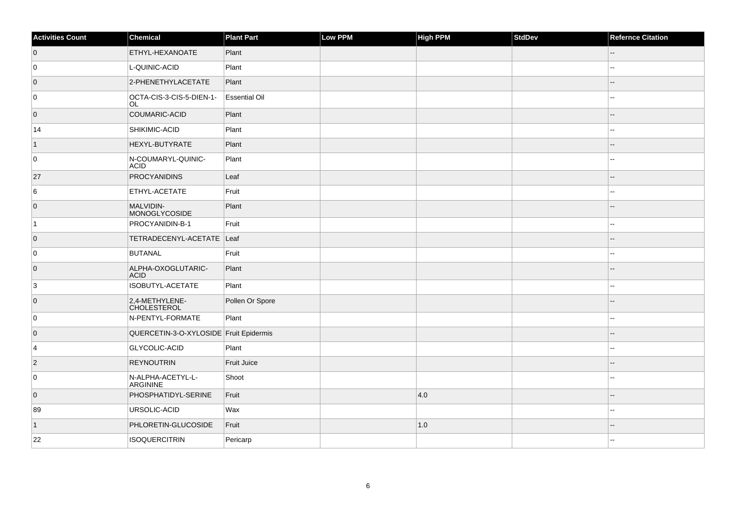| <b>Activities Count</b> | Chemical                               | <b>Plant Part</b>    | Low PPM | <b>High PPM</b> | StdDev | <b>Refernce Citation</b> |
|-------------------------|----------------------------------------|----------------------|---------|-----------------|--------|--------------------------|
| $\overline{0}$          | ETHYL-HEXANOATE                        | Plant                |         |                 |        | --                       |
| 0                       | L-QUINIC-ACID                          | Plant                |         |                 |        | ۵.                       |
| $\overline{0}$          | 2-PHENETHYLACETATE                     | Plant                |         |                 |        |                          |
| 0                       | OCTA-CIS-3-CIS-5-DIEN-1-<br>OL         | <b>Essential Oil</b> |         |                 |        | --                       |
| $\overline{0}$          | COUMARIC-ACID                          | Plant                |         |                 |        |                          |
| 14                      | <b>SHIKIMIC-ACID</b>                   | Plant                |         |                 |        |                          |
| $\mathbf{1}$            | HEXYL-BUTYRATE                         | Plant                |         |                 |        |                          |
| 0                       | N-COUMARYL-QUINIC-<br><b>ACID</b>      | Plant                |         |                 |        | ۵.                       |
| 27                      | PROCYANIDINS                           | Leaf                 |         |                 |        |                          |
| 6                       | ETHYL-ACETATE                          | Fruit                |         |                 |        |                          |
| $\overline{0}$          | <b>MALVIDIN-</b><br>MONOGLYCOSIDE      | Plant                |         |                 |        |                          |
| $\vert$ 1               | PROCYANIDIN-B-1                        | Fruit                |         |                 |        | ۵.                       |
| $\overline{0}$          | TETRADECENYL-ACETATE                   | $\vert$ Leaf         |         |                 |        |                          |
| 0                       | BUTANAL                                | Fruit                |         |                 |        | --                       |
| $\overline{0}$          | ALPHA-OXOGLUTARIC-<br><b>ACID</b>      | Plant                |         |                 |        | --                       |
| 3                       | ISOBUTYL-ACETATE                       | Plant                |         |                 |        | ۵.                       |
| $\overline{0}$          | 2,4-METHYLENE-<br><b>CHOLESTEROL</b>   | Pollen Or Spore      |         |                 |        |                          |
| 0                       | N-PENTYL-FORMATE                       | Plant                |         |                 |        | Ξ.                       |
| $\overline{0}$          | QUERCETIN-3-O-XYLOSIDE Fruit Epidermis |                      |         |                 |        |                          |
| $\overline{4}$          | <b>GLYCOLIC-ACID</b>                   | Plant                |         |                 |        |                          |
| $\overline{2}$          | <b>REYNOUTRIN</b>                      | Fruit Juice          |         |                 |        |                          |
| 0                       | N-ALPHA-ACETYL-L-<br>ARGININE          | Shoot                |         |                 |        |                          |
| $\overline{0}$          | PHOSPHATIDYL-SERINE                    | Fruit                |         | 4.0             |        |                          |
| 89                      | URSOLIC-ACID                           | Wax                  |         |                 |        | --                       |
| $\vert$ 1               | PHLORETIN-GLUCOSIDE                    | Fruit                |         | 1.0             |        |                          |
| 22                      | <b>ISOQUERCITRIN</b>                   | Pericarp             |         |                 |        |                          |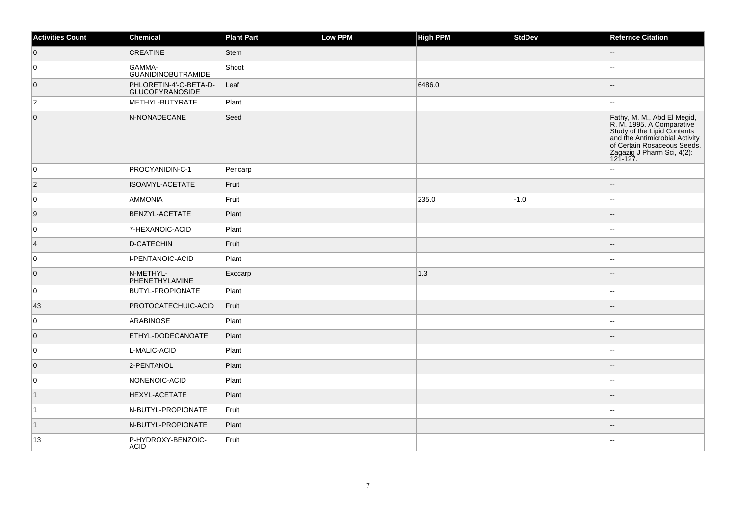| <b>Activities Count</b> | Chemical                                         | <b>Plant Part</b> | Low PPM | <b>High PPM</b> | StdDev | <b>Refernce Citation</b>                                                                                                                                                                           |
|-------------------------|--------------------------------------------------|-------------------|---------|-----------------|--------|----------------------------------------------------------------------------------------------------------------------------------------------------------------------------------------------------|
| $\overline{0}$          | <b>CREATINE</b>                                  | <b>Stem</b>       |         |                 |        |                                                                                                                                                                                                    |
| 0                       | GAMMA-<br><b>GUANIDINOBUTRAMIDE</b>              | Shoot             |         |                 |        |                                                                                                                                                                                                    |
| $\overline{0}$          | PHLORETIN-4'-O-BETA-D-<br><b>GLUCOPYRANOSIDE</b> | Leaf              |         | 6486.0          |        | $-$                                                                                                                                                                                                |
| $\overline{2}$          | METHYL-BUTYRATE                                  | Plant             |         |                 |        |                                                                                                                                                                                                    |
| $\overline{0}$          | N-NONADECANE                                     | Seed              |         |                 |        | Fathy, M. M., Abd El Megid,<br>R. M. 1995. A Comparative<br>Study of the Lipid Contents<br>and the Antimicrobial Activity<br>of Certain Rosaceous Seeds.<br>Zagazig J Pharm Sci, 4(2):<br>121-127. |
| 0                       | PROCYANIDIN-C-1                                  | Pericarp          |         |                 |        | --                                                                                                                                                                                                 |
| $ 2\rangle$             | ISOAMYL-ACETATE                                  | Fruit             |         |                 |        |                                                                                                                                                                                                    |
| 0                       | AMMONIA                                          | Fruit             |         | 235.0           | $-1.0$ | $\overline{a}$                                                                                                                                                                                     |
| 9                       | BENZYL-ACETATE                                   | Plant             |         |                 |        | --                                                                                                                                                                                                 |
| 0                       | 7-HEXANOIC-ACID                                  | Plant             |         |                 |        |                                                                                                                                                                                                    |
| 4                       | D-CATECHIN                                       | Fruit             |         |                 |        |                                                                                                                                                                                                    |
| 0                       | I-PENTANOIC-ACID                                 | Plant             |         |                 |        | --                                                                                                                                                                                                 |
| $\overline{0}$          | N-METHYL-<br>PHENETHYLAMINE                      | Exocarp           |         | 1.3             |        |                                                                                                                                                                                                    |
| 0                       | <b>BUTYL-PROPIONATE</b>                          | Plant             |         |                 |        |                                                                                                                                                                                                    |
| 43                      | PROTOCATECHUIC-ACID                              | Fruit             |         |                 |        |                                                                                                                                                                                                    |
| 0                       | ARABINOSE                                        | Plant             |         |                 |        |                                                                                                                                                                                                    |
| $\overline{0}$          | ETHYL-DODECANOATE                                | Plant             |         |                 |        |                                                                                                                                                                                                    |
| 0                       | L-MALIC-ACID                                     | Plant             |         |                 |        |                                                                                                                                                                                                    |
| $\overline{0}$          | 2-PENTANOL                                       | Plant             |         |                 |        |                                                                                                                                                                                                    |
| 0                       | NONENOIC-ACID                                    | Plant             |         |                 |        | Ξ.                                                                                                                                                                                                 |
| $\vert$ 1               | <b>HEXYL-ACETATE</b>                             | Plant             |         |                 |        |                                                                                                                                                                                                    |
| $\vert$ 1               | N-BUTYL-PROPIONATE                               | Fruit             |         |                 |        |                                                                                                                                                                                                    |
| $\vert$ 1               | N-BUTYL-PROPIONATE                               | Plant             |         |                 |        | --                                                                                                                                                                                                 |
| 13                      | P-HYDROXY-BENZOIC-<br><b>ACID</b>                | Fruit             |         |                 |        |                                                                                                                                                                                                    |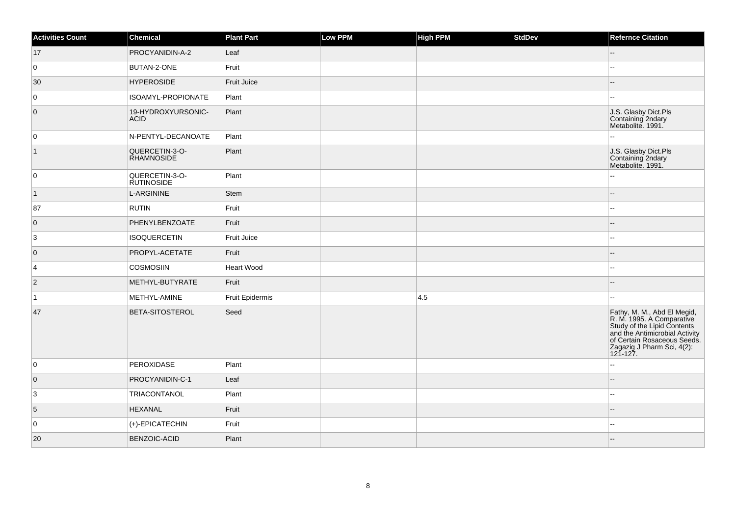| <b>Activities Count</b> | Chemical                            | <b>Plant Part</b>  | Low PPM | <b>High PPM</b> | <b>StdDev</b> | <b>Refernce Citation</b>                                                                                                                                                                           |
|-------------------------|-------------------------------------|--------------------|---------|-----------------|---------------|----------------------------------------------------------------------------------------------------------------------------------------------------------------------------------------------------|
| 17                      | PROCYANIDIN-A-2                     | Leaf               |         |                 |               | $-1$                                                                                                                                                                                               |
| 0                       | BUTAN-2-ONE                         | Fruit              |         |                 |               |                                                                                                                                                                                                    |
| 30                      | <b>HYPEROSIDE</b>                   | <b>Fruit Juice</b> |         |                 |               |                                                                                                                                                                                                    |
| 0                       | ISOAMYL-PROPIONATE                  | Plant              |         |                 |               |                                                                                                                                                                                                    |
| $\overline{0}$          | 19-HYDROXYURSONIC-<br><b>ACID</b>   | Plant              |         |                 |               | J.S. Glasby Dict.Pls<br>Containing 2ndary<br>Metabolite. 1991.                                                                                                                                     |
| 0                       | N-PENTYL-DECANOATE                  | Plant              |         |                 |               |                                                                                                                                                                                                    |
| $\overline{1}$          | QUERCETIN-3-O-<br><b>RHAMNOSIDE</b> | Plant              |         |                 |               | J.S. Glasby Dict.Pls<br>Containing 2ndary<br>Metabolite. 1991.                                                                                                                                     |
| 0                       | QUERCETIN-3-O-<br><b>RUTINOSIDE</b> | Plant              |         |                 |               | $\overline{a}$                                                                                                                                                                                     |
| $\vert$ 1               | <b>L-ARGININE</b>                   | <b>Stem</b>        |         |                 |               | --                                                                                                                                                                                                 |
| 87                      | <b>RUTIN</b>                        | Fruit              |         |                 |               | ۵.                                                                                                                                                                                                 |
| $\overline{0}$          | PHENYLBENZOATE                      | Fruit              |         |                 |               | --                                                                                                                                                                                                 |
| 3                       | <b>ISOQUERCETIN</b>                 | Fruit Juice        |         |                 |               | --                                                                                                                                                                                                 |
| $\overline{0}$          | PROPYL-ACETATE                      | Fruit              |         |                 |               |                                                                                                                                                                                                    |
| 4                       | <b>COSMOSIIN</b>                    | <b>Heart Wood</b>  |         |                 |               | --                                                                                                                                                                                                 |
| $\overline{2}$          | METHYL-BUTYRATE                     | Fruit              |         |                 |               |                                                                                                                                                                                                    |
| $\vert$ 1               | METHYL-AMINE                        | Fruit Epidermis    |         | 4.5             |               |                                                                                                                                                                                                    |
| 47                      | <b>BETA-SITOSTEROL</b>              | Seed               |         |                 |               | Fathy, M. M., Abd El Megid,<br>R. M. 1995. A Comparative<br>Study of the Lipid Contents<br>and the Antimicrobial Activity<br>of Certain Rosaceous Seeds.<br>Zagazig J Pharm Sci, 4(2):<br>121-127. |
| 0                       | PEROXIDASE                          | Plant              |         |                 |               | шш.                                                                                                                                                                                                |
| $\overline{0}$          | PROCYANIDIN-C-1                     | Leaf               |         |                 |               |                                                                                                                                                                                                    |
| $\overline{3}$          | TRIACONTANOL                        | Plant              |         |                 |               | ц,                                                                                                                                                                                                 |
| 5                       | <b>HEXANAL</b>                      | Fruit              |         |                 |               | $\overline{a}$                                                                                                                                                                                     |
| $\overline{0}$          | (+)-EPICATECHIN                     | Fruit              |         |                 |               |                                                                                                                                                                                                    |
| 20                      | <b>BENZOIC-ACID</b>                 | Plant              |         |                 |               |                                                                                                                                                                                                    |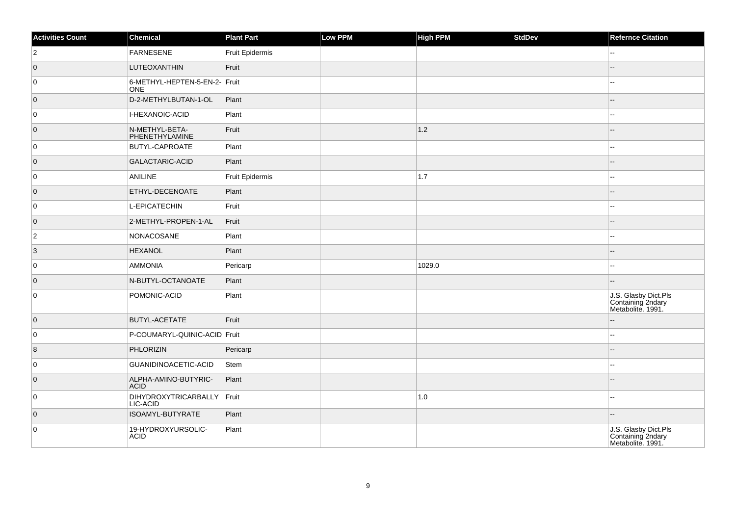| <b>Activities Count</b> | Chemical                                    | <b>Plant Part</b>      | Low PPM | <b>High PPM</b> | <b>StdDev</b> | <b>Refernce Citation</b>                                       |
|-------------------------|---------------------------------------------|------------------------|---------|-----------------|---------------|----------------------------------------------------------------|
| $\overline{2}$          | <b>FARNESENE</b>                            | <b>Fruit Epidermis</b> |         |                 |               | --                                                             |
| $\overline{0}$          | LUTEOXANTHIN                                | Fruit                  |         |                 |               | $-$                                                            |
| 0                       | 6-METHYL-HEPTEN-5-EN-2- Fruit<br><b>ONE</b> |                        |         |                 |               |                                                                |
| $\overline{0}$          | D-2-METHYLBUTAN-1-OL                        | Plant                  |         |                 |               |                                                                |
| 0                       | I-HEXANOIC-ACID                             | Plant                  |         |                 |               |                                                                |
| $\overline{0}$          | N-METHYL-BETA-<br>PHENETHYLAMINE            | Fruit                  |         | 1.2             |               |                                                                |
| 0                       | <b>BUTYL-CAPROATE</b>                       | Plant                  |         |                 |               |                                                                |
| $\overline{0}$          | GALACTARIC-ACID                             | Plant                  |         |                 |               |                                                                |
| 0                       | ANILINE                                     | Fruit Epidermis        |         | 1.7             |               | 44                                                             |
| $\overline{0}$          | ETHYL-DECENOATE                             | Plant                  |         |                 |               | --                                                             |
| 0                       | L-EPICATECHIN                               | Fruit                  |         |                 |               | ۵.                                                             |
| $\overline{0}$          | 2-METHYL-PROPEN-1-AL                        | Fruit                  |         |                 |               |                                                                |
| $\overline{2}$          | NONACOSANE                                  | Plant                  |         |                 |               | ц.                                                             |
| 3                       | <b>HEXANOL</b>                              | Plant                  |         |                 |               |                                                                |
| 0                       | <b>AMMONIA</b>                              | Pericarp               |         | 1029.0          |               | 44                                                             |
| $\overline{0}$          | N-BUTYL-OCTANOATE                           | Plant                  |         |                 |               |                                                                |
| 0                       | POMONIC-ACID                                | Plant                  |         |                 |               | J.S. Glasby Dict.Pls<br>Containing 2ndary<br>Metabolite. 1991. |
| $\overline{0}$          | <b>BUTYL-ACETATE</b>                        | Fruit                  |         |                 |               | $- -$                                                          |
| 0                       | P-COUMARYL-QUINIC-ACID Fruit                |                        |         |                 |               | Щ,                                                             |
| $\overline{8}$          | <b>PHLORIZIN</b>                            | Pericarp               |         |                 |               |                                                                |
| 0                       | GUANIDINOACETIC-ACID                        | Stem                   |         |                 |               | --                                                             |
| $\overline{0}$          | ALPHA-AMINO-BUTYRIC-<br><b>ACID</b>         | Plant                  |         |                 |               |                                                                |
| $\overline{0}$          | <b>DIHYDROXYTRICARBALLY</b><br>LIC-ACID     | $ $ Fruit              |         | 1.0             |               | ۵.                                                             |
| $\overline{0}$          | ISOAMYL-BUTYRATE                            | Plant                  |         |                 |               |                                                                |
| 0                       | 19-HYDROXYURSOLIC-<br><b>ACID</b>           | Plant                  |         |                 |               | J.S. Glasby Dict.Pls<br>Containing 2ndary<br>Metabolite. 1991. |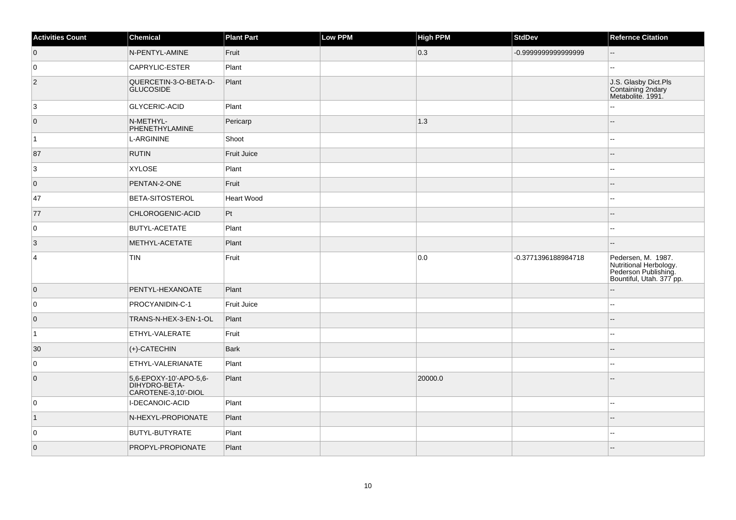| <b>Activities Count</b> | Chemical                                                       | <b>Plant Part</b> | Low PPM | <b>High PPM</b> | <b>StdDev</b>       | <b>Refernce Citation</b>                                                                         |
|-------------------------|----------------------------------------------------------------|-------------------|---------|-----------------|---------------------|--------------------------------------------------------------------------------------------------|
| $\overline{0}$          | N-PENTYL-AMINE                                                 | Fruit             |         | $ 0.3\rangle$   | -0.999999999999999  |                                                                                                  |
| 0                       | CAPRYLIC-ESTER                                                 | Plant             |         |                 |                     |                                                                                                  |
| $\overline{2}$          | QUERCETIN-3-O-BETA-D-<br><b>GLUCOSIDE</b>                      | Plant             |         |                 |                     | J.S. Glasby Dict.Pls<br>Containing 2ndary<br>Metabolite. 1991.                                   |
| 3                       | <b>GLYCERIC-ACID</b>                                           | Plant             |         |                 |                     |                                                                                                  |
| $\overline{0}$          | N-METHYL-<br>PHENETHYLAMINE                                    | Pericarp          |         | 1.3             |                     |                                                                                                  |
| $\vert$ 1               | L-ARGININE                                                     | Shoot             |         |                 |                     |                                                                                                  |
| 87                      | <b>RUTIN</b>                                                   | Fruit Juice       |         |                 |                     |                                                                                                  |
| 3                       | <b>XYLOSE</b>                                                  | Plant             |         |                 |                     |                                                                                                  |
| $\overline{0}$          | PENTAN-2-ONE                                                   | Fruit             |         |                 |                     |                                                                                                  |
| 47                      | <b>BETA-SITOSTEROL</b>                                         | Heart Wood        |         |                 |                     | $\overline{a}$                                                                                   |
| 77                      | CHLOROGENIC-ACID                                               | Pt                |         |                 |                     |                                                                                                  |
| 0                       | <b>BUTYL-ACETATE</b>                                           | Plant             |         |                 |                     |                                                                                                  |
| $\overline{3}$          | METHYL-ACETATE                                                 | Plant             |         |                 |                     |                                                                                                  |
| $\overline{4}$          | <b>TIN</b>                                                     | Fruit             |         | 0.0             | -0.3771396188984718 | Pedersen, M. 1987.<br>Nutritional Herbology.<br>Pederson Publishing.<br>Bountiful, Utah. 377 pp. |
| $\overline{0}$          | PENTYL-HEXANOATE                                               | Plant             |         |                 |                     |                                                                                                  |
| 0                       | PROCYANIDIN-C-1                                                | Fruit Juice       |         |                 |                     | ۵.                                                                                               |
| $\overline{0}$          | TRANS-N-HEX-3-EN-1-OL                                          | Plant             |         |                 |                     |                                                                                                  |
| $\vert$ 1               | ETHYL-VALERATE                                                 | Fruit             |         |                 |                     |                                                                                                  |
| 30                      | $ (+)$ -CATECHIN                                               | <b>Bark</b>       |         |                 |                     |                                                                                                  |
| 0                       | ETHYL-VALERIANATE                                              | Plant             |         |                 |                     |                                                                                                  |
| $\overline{0}$          | 5,6-EPOXY-10'-APO-5,6-<br>DIHYDRO-BETA-<br>CAROTENE-3,10'-DIOL | Plant             |         | 20000.0         |                     |                                                                                                  |
| 0                       | I-DECANOIC-ACID                                                | Plant             |         |                 |                     | --                                                                                               |
| $\vert$ 1               | N-HEXYL-PROPIONATE                                             | Plant             |         |                 |                     |                                                                                                  |
| 0                       | <b>BUTYL-BUTYRATE</b>                                          | Plant             |         |                 |                     |                                                                                                  |
| $\overline{0}$          | PROPYL-PROPIONATE                                              | Plant             |         |                 |                     |                                                                                                  |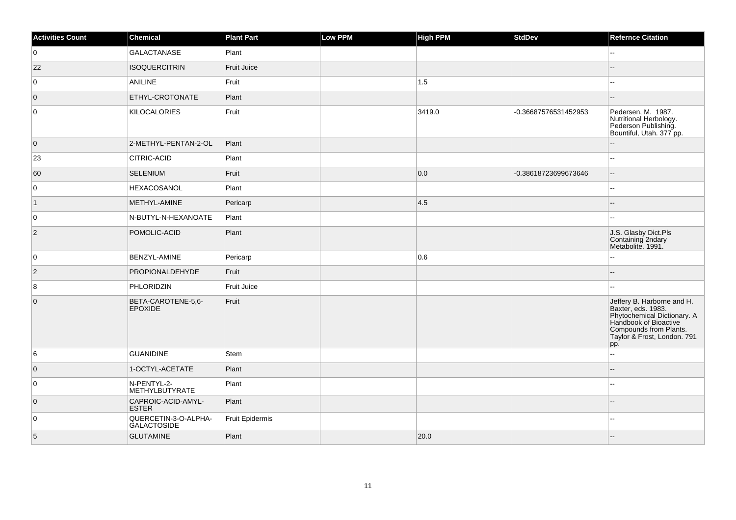| <b>Activities Count</b> | Chemical                                   | <b>Plant Part</b>      | <b>Low PPM</b> | <b>High PPM</b> | <b>StdDev</b>        | <b>Refernce Citation</b>                                                                                                                                                 |
|-------------------------|--------------------------------------------|------------------------|----------------|-----------------|----------------------|--------------------------------------------------------------------------------------------------------------------------------------------------------------------------|
| 0                       | <b>GALACTANASE</b>                         | Plant                  |                |                 |                      | --                                                                                                                                                                       |
| 22                      | <b>ISOQUERCITRIN</b>                       | <b>Fruit Juice</b>     |                |                 |                      |                                                                                                                                                                          |
| $\overline{0}$          | <b>ANILINE</b>                             | Fruit                  |                | 1.5             |                      |                                                                                                                                                                          |
| $\overline{0}$          | ETHYL-CROTONATE                            | Plant                  |                |                 |                      |                                                                                                                                                                          |
| $\overline{0}$          | <b>KILOCALORIES</b>                        | Fruit                  |                | 3419.0          | -0.36687576531452953 | Pedersen, M. 1987.<br>Nutritional Herbology.<br>Pederson Publishing.<br>Bountiful, Utah. 377 pp.                                                                         |
| $\overline{0}$          | 2-METHYL-PENTAN-2-OL                       | Plant                  |                |                 |                      |                                                                                                                                                                          |
| 23                      | <b>CITRIC-ACID</b>                         | Plant                  |                |                 |                      | --                                                                                                                                                                       |
| 60                      | <b>SELENIUM</b>                            | Fruit                  |                | 0.0             | -0.38618723699673646 |                                                                                                                                                                          |
| 0                       | <b>HEXACOSANOL</b>                         | Plant                  |                |                 |                      | ż.                                                                                                                                                                       |
| $\vert$ 1               | METHYL-AMINE                               | Pericarp               |                | 4.5             |                      |                                                                                                                                                                          |
| 0                       | N-BUTYL-N-HEXANOATE                        | Plant                  |                |                 |                      |                                                                                                                                                                          |
| $\overline{2}$          | POMOLIC-ACID                               | Plant                  |                |                 |                      | J.S. Glasby Dict.Pls<br>Containing 2ndary<br>Metabolite. 1991.                                                                                                           |
| 0                       | BENZYL-AMINE                               | Pericarp               |                | 0.6             |                      |                                                                                                                                                                          |
| $\vert$ 2               | PROPIONALDEHYDE                            | Fruit                  |                |                 |                      |                                                                                                                                                                          |
| 8                       | PHLORIDZIN                                 | Fruit Juice            |                |                 |                      | u.                                                                                                                                                                       |
| $\overline{0}$          | BETA-CAROTENE-5,6-<br><b>EPOXIDE</b>       | Fruit                  |                |                 |                      | Jeffery B. Harborne and H.<br>Baxter, eds. 1983.<br>Phytochemical Dictionary. A<br>Handbook of Bioactive<br>Compounds from Plants.<br>Taylor & Frost, London. 791<br>pp. |
| 6                       | <b>GUANIDINE</b>                           | Stem                   |                |                 |                      | u.                                                                                                                                                                       |
| $\overline{0}$          | 1-OCTYL-ACETATE                            | Plant                  |                |                 |                      |                                                                                                                                                                          |
| 0                       | N-PENTYL-2-<br>METHYLBUTYRATE              | Plant                  |                |                 |                      | ۵.                                                                                                                                                                       |
| $\overline{0}$          | CAPROIC-ACID-AMYL-<br><b>ESTER</b>         | Plant                  |                |                 |                      |                                                                                                                                                                          |
| $\overline{0}$          | QUERCETIN-3-O-ALPHA-<br><b>GALACTOSIDE</b> | <b>Fruit Epidermis</b> |                |                 |                      |                                                                                                                                                                          |
| 5                       | <b>GLUTAMINE</b>                           | Plant                  |                | 20.0            |                      |                                                                                                                                                                          |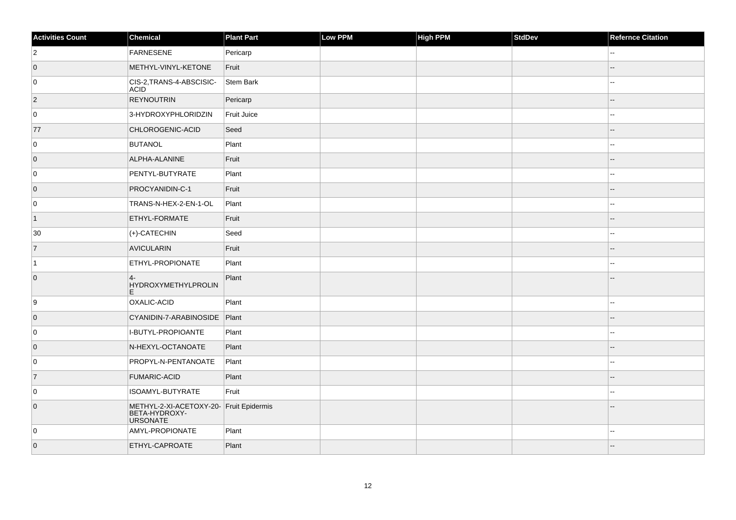| <b>Activities Count</b> | Chemical                                                                    | <b>Plant Part</b> | Low PPM | <b>High PPM</b> | <b>StdDev</b> | <b>Refernce Citation</b> |
|-------------------------|-----------------------------------------------------------------------------|-------------------|---------|-----------------|---------------|--------------------------|
| $\overline{2}$          | FARNESENE                                                                   | Pericarp          |         |                 |               |                          |
| $\overline{0}$          | METHYL-VINYL-KETONE                                                         | Fruit             |         |                 |               |                          |
| 0                       | CIS-2, TRANS-4-ABSCISIC-<br><b>ACID</b>                                     | Stem Bark         |         |                 |               | ۵.                       |
| $\overline{2}$          | <b>REYNOUTRIN</b>                                                           | Pericarp          |         |                 |               | $-$                      |
| 0                       | 3-HYDROXYPHLORIDZIN                                                         | Fruit Juice       |         |                 |               |                          |
| 77                      | CHLOROGENIC-ACID                                                            | Seed              |         |                 |               |                          |
| 0                       | <b>BUTANOL</b>                                                              | Plant             |         |                 |               | Щ,                       |
| $\overline{0}$          | ALPHA-ALANINE                                                               | Fruit             |         |                 |               |                          |
| 0                       | PENTYL-BUTYRATE                                                             | Plant             |         |                 |               |                          |
| $\overline{0}$          | PROCYANIDIN-C-1                                                             | Fruit             |         |                 |               | $-$                      |
| 0                       | TRANS-N-HEX-2-EN-1-OL                                                       | Plant             |         |                 |               | шш.                      |
| $\vert$ 1               | ETHYL-FORMATE                                                               | Fruit             |         |                 |               |                          |
| 30                      | $ $ (+)-CATECHIN                                                            | Seed              |         |                 |               | ۵.                       |
| $\overline{7}$          | <b>AVICULARIN</b>                                                           | Fruit             |         |                 |               |                          |
| $\vert$ 1               | <b>ETHYL-PROPIONATE</b>                                                     | Plant             |         |                 |               |                          |
| $\overline{0}$          | $4-$<br>HYDROXYMETHYLPROLIN<br>E.                                           | Plant             |         |                 |               |                          |
| 9                       | OXALIC-ACID                                                                 | Plant             |         |                 |               | $-1$                     |
| $\overline{0}$          | CYANIDIN-7-ARABINOSIDE Plant                                                |                   |         |                 |               |                          |
| 0                       | I-BUTYL-PROPIOANTE                                                          | Plant             |         |                 |               | 44                       |
| $\overline{0}$          | N-HEXYL-OCTANOATE                                                           | Plant             |         |                 |               | $-$                      |
| 0                       | PROPYL-N-PENTANOATE                                                         | Plant             |         |                 |               | 44                       |
| 7                       | <b>FUMARIC-ACID</b>                                                         | Plant             |         |                 |               |                          |
| 0                       | ISOAMYL-BUTYRATE                                                            | Fruit             |         |                 |               |                          |
| $\overline{0}$          | METHYL-2-XI-ACETOXY-20- Fruit Epidermis<br>BETA-HYDROXY-<br><b>URSONATE</b> |                   |         |                 |               |                          |
| 0                       | AMYL-PROPIONATE                                                             | Plant             |         |                 |               |                          |
| $\overline{0}$          | ETHYL-CAPROATE                                                              | Plant             |         |                 |               |                          |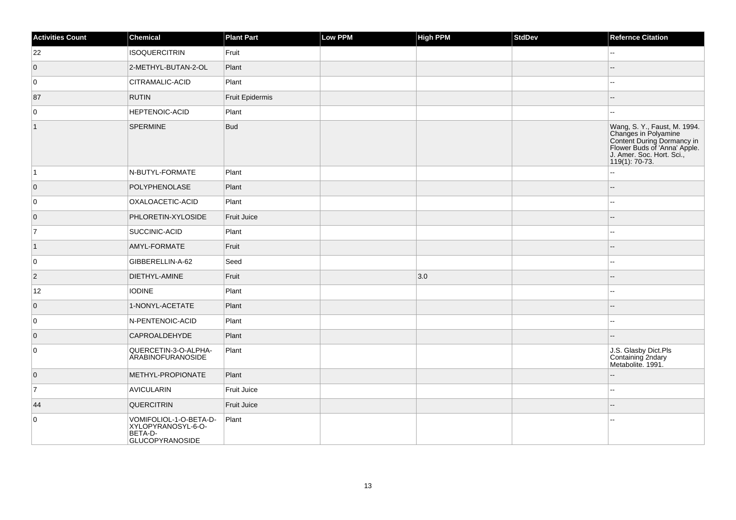| <b>Activities Count</b> | <b>Chemical</b>                                                                   | <b>Plant Part</b>  | <b>Low PPM</b> | <b>High PPM</b> | StdDev | <b>Refernce Citation</b>                                                                                                                                          |
|-------------------------|-----------------------------------------------------------------------------------|--------------------|----------------|-----------------|--------|-------------------------------------------------------------------------------------------------------------------------------------------------------------------|
| 22                      | <b>ISOQUERCITRIN</b>                                                              | Fruit              |                |                 |        | $=$                                                                                                                                                               |
| $\overline{0}$          | 2-METHYL-BUTAN-2-OL                                                               | Plant              |                |                 |        |                                                                                                                                                                   |
| 0                       | CITRAMALIC-ACID                                                                   | Plant              |                |                 |        | --                                                                                                                                                                |
| 87                      | <b>RUTIN</b>                                                                      | Fruit Epidermis    |                |                 |        | --                                                                                                                                                                |
| $\mathbf 0$             | HEPTENOIC-ACID                                                                    | Plant              |                |                 |        |                                                                                                                                                                   |
| $\vert$ 1               | SPERMINE                                                                          | <b>Bud</b>         |                |                 |        | Wang, S. Y., Faust, M. 1994.<br>Changes in Polyamine<br>Content During Dormancy in<br>Flower Buds of 'Anna' Apple.<br>J. Amer. Soc. Hort. Sci.,<br>119(1): 70-73. |
| $\vert$ 1               | N-BUTYL-FORMATE                                                                   | Plant              |                |                 |        | Ξ.                                                                                                                                                                |
| $\overline{0}$          | POLYPHENOLASE                                                                     | Plant              |                |                 |        | $-$                                                                                                                                                               |
| 0                       | OXALOACETIC-ACID                                                                  | Plant              |                |                 |        |                                                                                                                                                                   |
| $\overline{0}$          | PHLORETIN-XYLOSIDE                                                                | <b>Fruit Juice</b> |                |                 |        |                                                                                                                                                                   |
| $\overline{7}$          | SUCCINIC-ACID                                                                     | Plant              |                |                 |        | Щ,                                                                                                                                                                |
| $\vert$ 1               | AMYL-FORMATE                                                                      | Fruit              |                |                 |        |                                                                                                                                                                   |
| 0                       | GIBBERELLIN-A-62                                                                  | Seed               |                |                 |        | --                                                                                                                                                                |
| $ 2\rangle$             | DIETHYL-AMINE                                                                     | Fruit              |                | 3.0             |        | $-$                                                                                                                                                               |
| 12                      | <b>IODINE</b>                                                                     | Plant              |                |                 |        | $\sim$                                                                                                                                                            |
| $\overline{0}$          | 1-NONYL-ACETATE                                                                   | Plant              |                |                 |        |                                                                                                                                                                   |
| 0                       | N-PENTENOIC-ACID                                                                  | Plant              |                |                 |        | L.                                                                                                                                                                |
| $\overline{0}$          | CAPROALDEHYDE                                                                     | Plant              |                |                 |        |                                                                                                                                                                   |
| $\mathbf 0$             | QUERCETIN-3-O-ALPHA-<br>ARABINOFURANOSIDE                                         | Plant              |                |                 |        | J.S. Glasby Dict.Pls<br>Containing 2ndary<br>Metabolite. 1991.                                                                                                    |
| $\overline{0}$          | METHYL-PROPIONATE                                                                 | Plant              |                |                 |        |                                                                                                                                                                   |
| $\overline{7}$          | <b>AVICULARIN</b>                                                                 | <b>Fruit Juice</b> |                |                 |        | шш.                                                                                                                                                               |
| 44                      | QUERCITRIN                                                                        | Fruit Juice        |                |                 |        |                                                                                                                                                                   |
| 0                       | VOMIFOLIOL-1-O-BETA-D-<br>XYLOPYRANOSYL-6-O-<br>BETA-D-<br><b>GLUCOPYRANOSIDE</b> | Plant              |                |                 |        |                                                                                                                                                                   |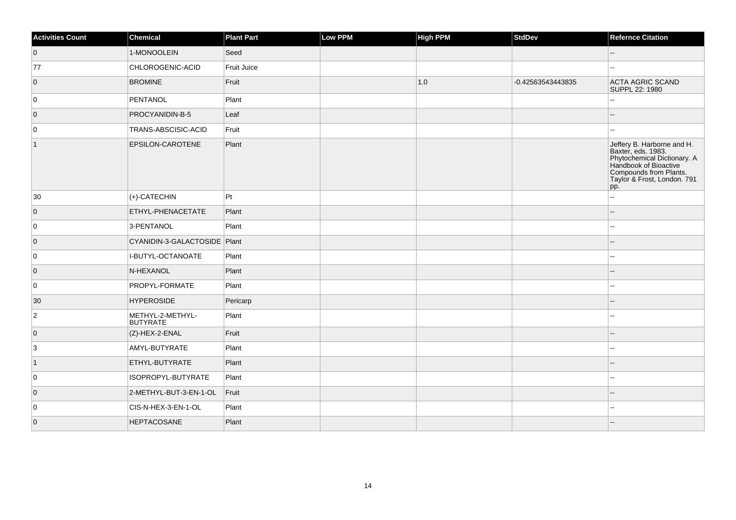| <b>Activities Count</b> | <b>Chemical</b>                     | <b>Plant Part</b> | Low PPM | <b>High PPM</b> | <b>StdDev</b>     | <b>Refernce Citation</b>                                                                                                                                                 |
|-------------------------|-------------------------------------|-------------------|---------|-----------------|-------------------|--------------------------------------------------------------------------------------------------------------------------------------------------------------------------|
| $\overline{0}$          | 1-MONOOLEIN                         | Seed              |         |                 |                   | $\overline{\phantom{a}}$                                                                                                                                                 |
| 77                      | CHLOROGENIC-ACID                    | Fruit Juice       |         |                 |                   |                                                                                                                                                                          |
| $\overline{0}$          | <b>BROMINE</b>                      | Fruit             |         | 1.0             | -0.42563543443835 | ACTA AGRIC SCAND<br>SUPPL 22: 1980                                                                                                                                       |
| 0                       | PENTANOL                            | Plant             |         |                 |                   | $\overline{\phantom{a}}$                                                                                                                                                 |
| $\overline{0}$          | PROCYANIDIN-B-5                     | Leaf              |         |                 |                   |                                                                                                                                                                          |
| 0                       | TRANS-ABSCISIC-ACID                 | Fruit             |         |                 |                   | ۵.                                                                                                                                                                       |
| $\mathbf{1}$            | EPSILON-CAROTENE                    | Plant             |         |                 |                   | Jeffery B. Harborne and H.<br>Baxter, eds. 1983.<br>Phytochemical Dictionary. A<br>Handbook of Bioactive<br>Compounds from Plants.<br>Taylor & Frost, London. 791<br>pp. |
| 30                      | $ $ (+)-CATECHIN                    | Pt                |         |                 |                   | ă.                                                                                                                                                                       |
| $\overline{0}$          | ETHYL-PHENACETATE                   | Plant             |         |                 |                   |                                                                                                                                                                          |
| 0                       | 3-PENTANOL                          | Plant             |         |                 |                   |                                                                                                                                                                          |
| $\overline{0}$          | CYANIDIN-3-GALACTOSIDE Plant        |                   |         |                 |                   |                                                                                                                                                                          |
| 0                       | I-BUTYL-OCTANOATE                   | Plant             |         |                 |                   | ۵.                                                                                                                                                                       |
| $\overline{0}$          | N-HEXANOL                           | Plant             |         |                 |                   |                                                                                                                                                                          |
| 0                       | <b>PROPYL-FORMATE</b>               | Plant             |         |                 |                   |                                                                                                                                                                          |
| 30                      | <b>HYPEROSIDE</b>                   | Pericarp          |         |                 |                   |                                                                                                                                                                          |
| $\overline{2}$          | METHYL-2-METHYL-<br><b>BUTYRATE</b> | Plant             |         |                 |                   | --                                                                                                                                                                       |
| $\overline{0}$          | $ $ (Z)-HEX-2-ENAL                  | Fruit             |         |                 |                   | --                                                                                                                                                                       |
| $\overline{3}$          | AMYL-BUTYRATE                       | Plant             |         |                 |                   | $\overline{\phantom{a}}$                                                                                                                                                 |
| $\vert$ 1               | ETHYL-BUTYRATE                      | Plant             |         |                 |                   |                                                                                                                                                                          |
| 0                       | ISOPROPYL-BUTYRATE                  | Plant             |         |                 |                   |                                                                                                                                                                          |
| $\overline{0}$          | 2-METHYL-BUT-3-EN-1-OL              | Fruit             |         |                 |                   |                                                                                                                                                                          |
| 0                       | CIS-N-HEX-3-EN-1-OL                 | Plant             |         |                 |                   |                                                                                                                                                                          |
| $\overline{0}$          | <b>HEPTACOSANE</b>                  | Plant             |         |                 |                   |                                                                                                                                                                          |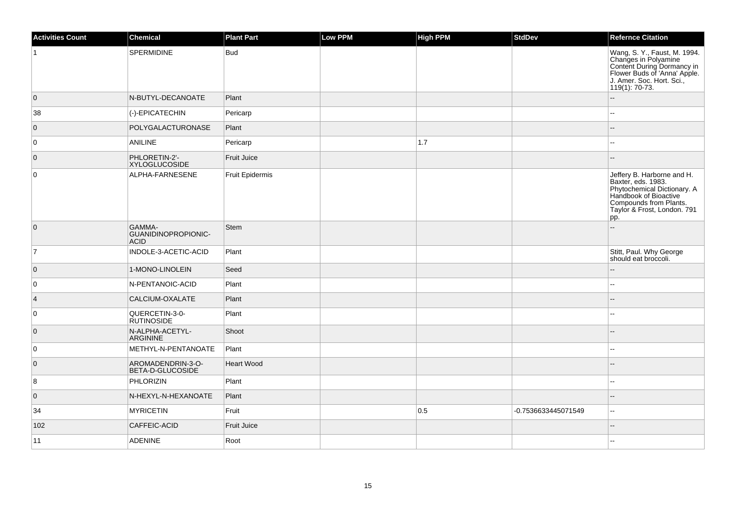| <b>Activities Count</b> | Chemical                                     | <b>Plant Part</b>  | <b>Low PPM</b> | High PPM | <b>StdDev</b>       | <b>Refernce Citation</b>                                                                                                                                                 |
|-------------------------|----------------------------------------------|--------------------|----------------|----------|---------------------|--------------------------------------------------------------------------------------------------------------------------------------------------------------------------|
| $\overline{1}$          | SPERMIDINE                                   | <b>Bud</b>         |                |          |                     | Wang, S. Y., Faust, M. 1994.<br>Changes in Polyamine<br>Content During Dormancy in<br>Flower Buds of 'Anna' Apple.<br>J. Amer. Soc. Hort. Sci.,<br>119(1): 70-73.        |
| $\overline{0}$          | N-BUTYL-DECANOATE                            | Plant              |                |          |                     | $\sim$                                                                                                                                                                   |
| 38                      | (-)-EPICATECHIN                              | Pericarp           |                |          |                     |                                                                                                                                                                          |
| $\overline{0}$          | POLYGALACTURONASE                            | Plant              |                |          |                     |                                                                                                                                                                          |
| 0                       | ANILINE                                      | Pericarp           |                | $1.7$    |                     | $\sim$                                                                                                                                                                   |
| $\overline{0}$          | PHLORETIN-2'-<br><b>XYLOGLUCOSIDE</b>        | <b>Fruit Juice</b> |                |          |                     |                                                                                                                                                                          |
| $\overline{0}$          | ALPHA-FARNESENE                              | Fruit Epidermis    |                |          |                     | Jeffery B. Harborne and H.<br>Baxter, eds. 1983.<br>Phytochemical Dictionary. A<br>Handbook of Bioactive<br>Compounds from Plants.<br>Taylor & Frost, London. 791<br>pp. |
| $\overline{0}$          | GAMMA-<br>GUANIDINOPROPIONIC-<br><b>ACID</b> | Stem               |                |          |                     | $\sim$                                                                                                                                                                   |
| $\overline{7}$          | INDOLE-3-ACETIC-ACID                         | Plant              |                |          |                     | Stitt, Paul. Why George<br>should eat broccoli.                                                                                                                          |
| $\overline{0}$          | 1-MONO-LINOLEIN                              | Seed               |                |          |                     |                                                                                                                                                                          |
| 0                       | N-PENTANOIC-ACID                             | Plant              |                |          |                     | $\sim$                                                                                                                                                                   |
| $\vert$ 4               | CALCIUM-OXALATE                              | Plant              |                |          |                     | $\sim$                                                                                                                                                                   |
| $\overline{0}$          | QUERCETIN-3-0-<br><b>RUTINOSIDE</b>          | Plant              |                |          |                     |                                                                                                                                                                          |
| $\overline{0}$          | N-ALPHA-ACETYL-<br><b>ARGININE</b>           | Shoot              |                |          |                     |                                                                                                                                                                          |
| $\overline{0}$          | METHYL-N-PENTANOATE                          | Plant              |                |          |                     | $\sim$ $\sim$                                                                                                                                                            |
| $\overline{0}$          | AROMADENDRIN-3-O-<br>BETA-D-GLUCOSIDE        | Heart Wood         |                |          |                     | $\overline{\phantom{a}}$                                                                                                                                                 |
| 8                       | PHLORIZIN                                    | Plant              |                |          |                     | $\sim$                                                                                                                                                                   |
| $\overline{0}$          | N-HEXYL-N-HEXANOATE                          | Plant              |                |          |                     | $\overline{\phantom{a}}$                                                                                                                                                 |
| 34                      | <b>MYRICETIN</b>                             | Fruit              |                | 0.5      | -0.7536633445071549 | $\sim$                                                                                                                                                                   |
| 102                     | <b>CAFFEIC-ACID</b>                          | Fruit Juice        |                |          |                     | $\overline{\phantom{a}}$                                                                                                                                                 |
| 11                      | <b>ADENINE</b>                               | Root               |                |          |                     |                                                                                                                                                                          |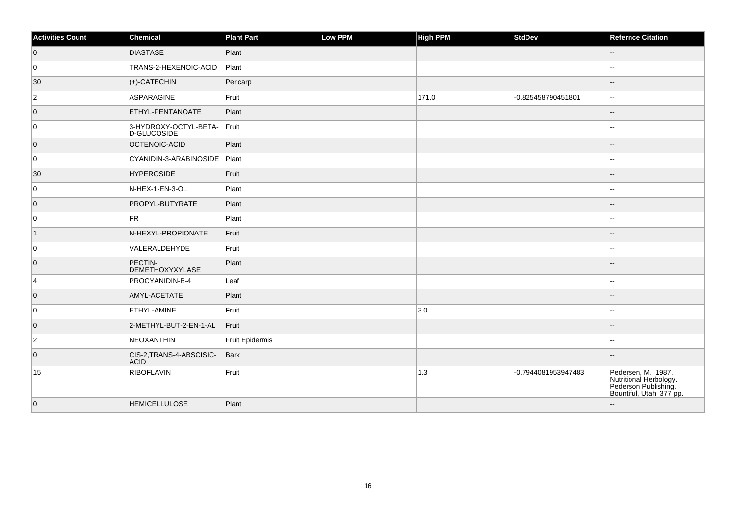| <b>Activities Count</b> | Chemical                                | Plant Part      | Low PPM | <b>High PPM</b> | StdDev              | <b>Refernce Citation</b>                                                                         |
|-------------------------|-----------------------------------------|-----------------|---------|-----------------|---------------------|--------------------------------------------------------------------------------------------------|
| $\overline{0}$          | <b>DIASTASE</b>                         | Plant           |         |                 |                     | $\overline{\phantom{a}}$                                                                         |
| 0                       | TRANS-2-HEXENOIC-ACID                   | Plant           |         |                 |                     | ۵.                                                                                               |
| 30                      | $ (+)$ -CATECHIN                        | Pericarp        |         |                 |                     |                                                                                                  |
| $\overline{2}$          | ASPARAGINE                              | Fruit           |         | 171.0           | -0.825458790451801  | --                                                                                               |
| $\overline{0}$          | ETHYL-PENTANOATE                        | Plant           |         |                 |                     | $-$                                                                                              |
| 0                       | 3-HYDROXY-OCTYL-BETA-<br>D-GLUCOSIDE    | $F$ ruit        |         |                 |                     |                                                                                                  |
| $\overline{0}$          | OCTENOIC-ACID                           | Plant           |         |                 |                     |                                                                                                  |
| 0                       | CYANIDIN-3-ARABINOSIDE Plant            |                 |         |                 |                     |                                                                                                  |
| 30                      | <b>HYPEROSIDE</b>                       | Fruit           |         |                 |                     |                                                                                                  |
| 0                       | N-HEX-1-EN-3-OL                         | Plant           |         |                 |                     |                                                                                                  |
| $\overline{0}$          | PROPYL-BUTYRATE                         | Plant           |         |                 |                     |                                                                                                  |
| 0                       | FR                                      | Plant           |         |                 |                     |                                                                                                  |
| $\vert$ 1               | N-HEXYL-PROPIONATE                      | Fruit           |         |                 |                     |                                                                                                  |
| 0                       | VALERALDEHYDE                           | Fruit           |         |                 |                     |                                                                                                  |
| $\overline{0}$          | PECTIN-<br>DEMETHOXYXYLASE              | Plant           |         |                 |                     |                                                                                                  |
| $\overline{4}$          | PROCYANIDIN-B-4                         | Leaf            |         |                 |                     |                                                                                                  |
| $\overline{0}$          | AMYL-ACETATE                            | Plant           |         |                 |                     | $-$                                                                                              |
| 0                       | <b>ETHYL-AMINE</b>                      | Fruit           |         | 3.0             |                     |                                                                                                  |
| 0                       | 2-METHYL-BUT-2-EN-1-AL                  | Fruit           |         |                 |                     |                                                                                                  |
| $\overline{2}$          | NEOXANTHIN                              | Fruit Epidermis |         |                 |                     |                                                                                                  |
| $\overline{0}$          | CIS-2, TRANS-4-ABSCISIC-<br><b>ACID</b> | Bark            |         |                 |                     |                                                                                                  |
| 15                      | RIBOFLAVIN                              | Fruit           |         | $1.3$           | -0.7944081953947483 | Pedersen, M. 1987.<br>Nutritional Herbology.<br>Pederson Publishing.<br>Bountiful, Utah. 377 pp. |
| $\overline{0}$          | <b>HEMICELLULOSE</b>                    | Plant           |         |                 |                     | $-$                                                                                              |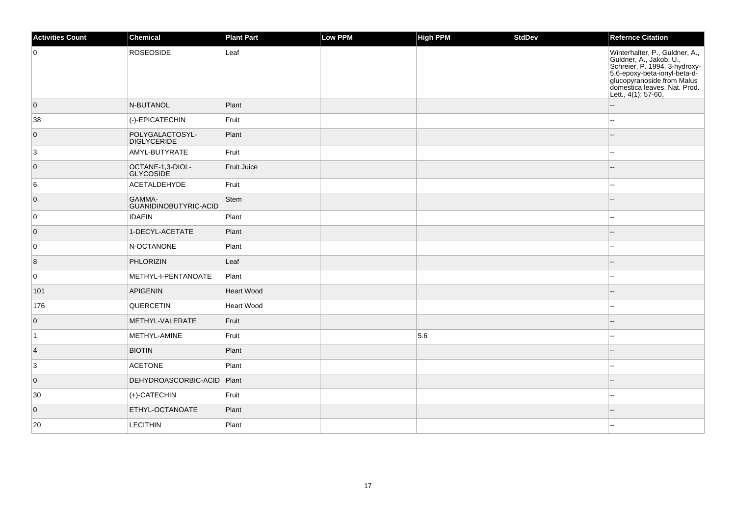| <b>Activities Count</b> | Chemical                             | <b>Plant Part</b> | <b>Low PPM</b> | High PPM | <b>StdDev</b> | <b>Refernce Citation</b>                                                                                                                                                                                        |
|-------------------------|--------------------------------------|-------------------|----------------|----------|---------------|-----------------------------------------------------------------------------------------------------------------------------------------------------------------------------------------------------------------|
| 0                       | ROSEOSIDE                            | Leaf              |                |          |               | Winterhalter, P., Guldner, A.,<br>Culdner, A., Jakob, U.,<br>Schreier, P. 1994. 3-hydroxy-<br>5,6-epoxy-beta-ionyl-beta-d-<br>glucopyranoside from Malus<br>domestica leaves. Nat. Prod.<br>Lett., 4(1): 57-60. |
| $\overline{0}$          | N-BUTANOL                            | Plant             |                |          |               | $\overline{a}$                                                                                                                                                                                                  |
| 38                      | (-)-EPICATECHIN                      | Fruit             |                |          |               | $\sim$                                                                                                                                                                                                          |
| $\overline{0}$          | POLYGALACTOSYL-<br>DIGLYCERIDE       | Plant             |                |          |               | $\overline{a}$                                                                                                                                                                                                  |
| 3                       | AMYL-BUTYRATE                        | Fruit             |                |          |               |                                                                                                                                                                                                                 |
| $\overline{0}$          | OCTANE-1,3-DIOL-<br><b>GLYCOSIDE</b> | Fruit Juice       |                |          |               | $-$                                                                                                                                                                                                             |
| 6                       | ACETALDEHYDE                         | Fruit             |                |          |               |                                                                                                                                                                                                                 |
| $\overline{0}$          | GAMMA-<br>GUANIDINOBUTYRIC-ACID      | Stem              |                |          |               | $\overline{\phantom{a}}$                                                                                                                                                                                        |
| 0                       | <b>IDAEIN</b>                        | Plant             |                |          |               |                                                                                                                                                                                                                 |
| $\overline{0}$          | 1-DECYL-ACETATE                      | Plant             |                |          |               |                                                                                                                                                                                                                 |
| 0                       | N-OCTANONE                           | Plant             |                |          |               |                                                                                                                                                                                                                 |
| $\vert 8 \vert$         | PHLORIZIN                            | Leaf              |                |          |               |                                                                                                                                                                                                                 |
| 0                       | METHYL-I-PENTANOATE                  | Plant             |                |          |               |                                                                                                                                                                                                                 |
| 101                     | APIGENIN                             | Heart Wood        |                |          |               | $-$                                                                                                                                                                                                             |
| 176                     | QUERCETIN                            | Heart Wood        |                |          |               |                                                                                                                                                                                                                 |
| $\overline{0}$          | METHYL-VALERATE                      | Fruit             |                |          |               | $-$                                                                                                                                                                                                             |
| $\overline{1}$          | METHYL-AMINE                         | Fruit             |                | 5.6      |               | $\sim$                                                                                                                                                                                                          |
| $\vert$ 4               | <b>BIOTIN</b>                        | Plant             |                |          |               |                                                                                                                                                                                                                 |
| 3                       | <b>ACETONE</b>                       | Plant             |                |          |               |                                                                                                                                                                                                                 |
| $\overline{0}$          | DEHYDROASCORBIC-ACID Plant           |                   |                |          |               |                                                                                                                                                                                                                 |
| 30                      | $ $ (+)-CATECHIN                     | Fruit             |                |          |               |                                                                                                                                                                                                                 |
| $\overline{0}$          | ETHYL-OCTANOATE                      | Plant             |                |          |               |                                                                                                                                                                                                                 |
| 20                      | <b>LECITHIN</b>                      | Plant             |                |          |               |                                                                                                                                                                                                                 |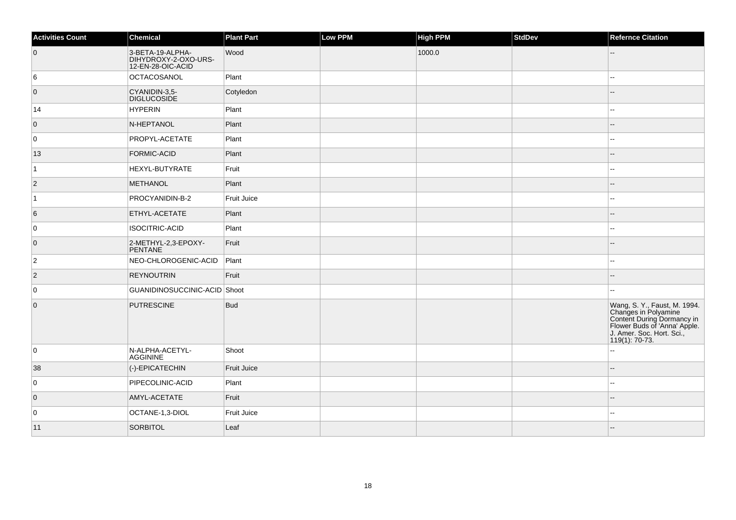| <b>Activities Count</b> | Chemical                                                      | <b>Plant Part</b> | Low PPM | <b>High PPM</b> | StdDev | <b>Refernce Citation</b>                                                                                                                                            |
|-------------------------|---------------------------------------------------------------|-------------------|---------|-----------------|--------|---------------------------------------------------------------------------------------------------------------------------------------------------------------------|
| $\overline{0}$          | 3-BETA-19-ALPHA-<br>DIHYDROXY-2-OXO-URS-<br>12-EN-28-OIC-ACID | Wood              |         | 1000.0          |        |                                                                                                                                                                     |
| 6                       | OCTACOSANOL                                                   | Plant             |         |                 |        | ۵.                                                                                                                                                                  |
| $\overline{0}$          | CYANIDIN-3,5-<br><b>DIGLUCOSIDE</b>                           | Cotyledon         |         |                 |        |                                                                                                                                                                     |
| 14                      | <b>HYPERIN</b>                                                | Plant             |         |                 |        |                                                                                                                                                                     |
| $\overline{0}$          | N-HEPTANOL                                                    | Plant             |         |                 |        |                                                                                                                                                                     |
| 0                       | PROPYL-ACETATE                                                | Plant             |         |                 |        | ۵.                                                                                                                                                                  |
| 13                      | <b>FORMIC-ACID</b>                                            | Plant             |         |                 |        |                                                                                                                                                                     |
| $\vert$ 1               | HEXYL-BUTYRATE                                                | Fruit             |         |                 |        | Щ,                                                                                                                                                                  |
| $\vert$ 2               | <b>METHANOL</b>                                               | Plant             |         |                 |        | --                                                                                                                                                                  |
| $\vert$ 1               | PROCYANIDIN-B-2                                               | Fruit Juice       |         |                 |        | --                                                                                                                                                                  |
| 6                       | <b>ETHYL-ACETATE</b>                                          | Plant             |         |                 |        |                                                                                                                                                                     |
| $\overline{0}$          | ISOCITRIC-ACID                                                | Plant             |         |                 |        | $-1$                                                                                                                                                                |
| $\overline{0}$          | 2-METHYL-2,3-EPOXY-<br>PENTANE                                | Fruit             |         |                 |        |                                                                                                                                                                     |
| $\overline{2}$          | NEO-CHLOROGENIC-ACID                                          | Plant             |         |                 |        | $\overline{a}$                                                                                                                                                      |
| $ 2\rangle$             | <b>REYNOUTRIN</b>                                             | Fruit             |         |                 |        |                                                                                                                                                                     |
| 0                       | GUANIDINOSUCCINIC-ACID Shoot                                  |                   |         |                 |        |                                                                                                                                                                     |
| $\overline{0}$          | <b>PUTRESCINE</b>                                             | <b>Bud</b>        |         |                 |        | Wang, S. Y., Faust, M. 1994.<br>Changes in Polyamine<br>Content During Dormancy in<br>Flower Buds of 'Anna' Apple.<br>J. Amer. Soc. Hort. Sci.,<br>$119(1): 70-73.$ |
| 0                       | N-ALPHA-ACETYL-<br><b>AGGININE</b>                            | Shoot             |         |                 |        | ۵.                                                                                                                                                                  |
| 38                      | (-)-EPICATECHIN                                               | Fruit Juice       |         |                 |        | ш,                                                                                                                                                                  |
| 0                       | PIPECOLINIC-ACID                                              | Plant             |         |                 |        | $\overline{a}$                                                                                                                                                      |
| $\overline{0}$          | AMYL-ACETATE                                                  | Fruit             |         |                 |        |                                                                                                                                                                     |
| 0                       | OCTANE-1,3-DIOL                                               | Fruit Juice       |         |                 |        | 44                                                                                                                                                                  |
| 11                      | SORBITOL                                                      | Leaf              |         |                 |        |                                                                                                                                                                     |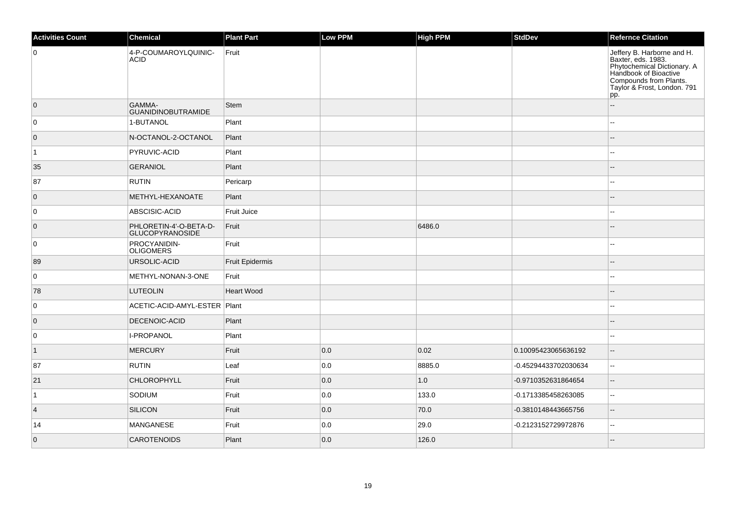| <b>Activities Count</b> | <b>Chemical</b>                           | <b>Plant Part</b>  | <b>Low PPM</b> | <b>High PPM</b> | <b>StdDev</b>        | <b>Refernce Citation</b>                                                                                                                                                 |
|-------------------------|-------------------------------------------|--------------------|----------------|-----------------|----------------------|--------------------------------------------------------------------------------------------------------------------------------------------------------------------------|
| $\overline{0}$          | 4-P-COUMAROYLQUINIC-<br><b>ACID</b>       | Fruit              |                |                 |                      | Jeffery B. Harborne and H.<br>Baxter, eds. 1983.<br>Phytochemical Dictionary. A<br>Handbook of Bioactive<br>Compounds from Plants.<br>Taylor & Frost, London. 791<br>pp. |
| $\overline{0}$          | GAMMA-<br><b>GUANIDINOBUTRAMIDE</b>       | Stem               |                |                 |                      | $\sim$                                                                                                                                                                   |
| $\overline{0}$          | 1-BUTANOL                                 | Plant              |                |                 |                      | $\sim$                                                                                                                                                                   |
| $\overline{0}$          | N-OCTANOL-2-OCTANOL                       | Plant              |                |                 |                      | $\sim$                                                                                                                                                                   |
| $\overline{1}$          | PYRUVIC-ACID                              | Plant              |                |                 |                      | $\sim$                                                                                                                                                                   |
| 35                      | <b>GERANIOL</b>                           | Plant              |                |                 |                      |                                                                                                                                                                          |
| 87                      | <b>RUTIN</b>                              | Pericarp           |                |                 |                      | ۵.                                                                                                                                                                       |
| $\overline{0}$          | METHYL-HEXANOATE                          | Plant              |                |                 |                      | $-$                                                                                                                                                                      |
| $\overline{0}$          | ABSCISIC-ACID                             | <b>Fruit Juice</b> |                |                 |                      | $\overline{a}$                                                                                                                                                           |
| $\overline{0}$          | PHLORETIN-4'-O-BETA-D-<br>GLUCOPYRANOSIDE | Fruit              |                | 6486.0          |                      |                                                                                                                                                                          |
| $\overline{0}$          | PROCYANIDIN-<br><b>OLIGOMERS</b>          | Fruit              |                |                 |                      |                                                                                                                                                                          |
| 89                      | URSOLIC-ACID                              | Fruit Epidermis    |                |                 |                      |                                                                                                                                                                          |
| $\overline{0}$          | METHYL-NONAN-3-ONE                        | Fruit              |                |                 |                      |                                                                                                                                                                          |
| 78                      | <b>LUTEOLIN</b>                           | <b>Heart Wood</b>  |                |                 |                      |                                                                                                                                                                          |
| 0                       | ACETIC-ACID-AMYL-ESTER Plant              |                    |                |                 |                      | $\overline{a}$                                                                                                                                                           |
| $\overline{0}$          | <b>DECENOIC-ACID</b>                      | Plant              |                |                 |                      |                                                                                                                                                                          |
| 0                       | I-PROPANOL                                | Plant              |                |                 |                      |                                                                                                                                                                          |
| $\vert$ 1               | MERCURY                                   | Fruit              | 0.0            | 0.02            | 0.10095423065636192  | $-$                                                                                                                                                                      |
| 87                      | <b>RUTIN</b>                              | Leaf               | 0.0            | 8885.0          | -0.45294433702030634 | $\mathbf{u}$                                                                                                                                                             |
| 21                      | <b>CHLOROPHYLL</b>                        | Fruit              | 0.0            | 1.0             | -0.9710352631864654  | $\sim$                                                                                                                                                                   |
| $\mathbf{1}$            | SODIUM                                    | Fruit              | 0.0            | 133.0           | -0.1713385458263085  | $\mathbf{u}$                                                                                                                                                             |
| $\overline{4}$          | SILICON                                   | Fruit              | 0.0            | 70.0            | -0.3810148443665756  | $\overline{\phantom{a}}$                                                                                                                                                 |
| 14                      | MANGANESE                                 | Fruit              | 0.0            | 29.0            | -0.2123152729972876  | $\overline{a}$                                                                                                                                                           |
| $\overline{0}$          | <b>CAROTENOIDS</b>                        | Plant              | 0.0            | 126.0           |                      |                                                                                                                                                                          |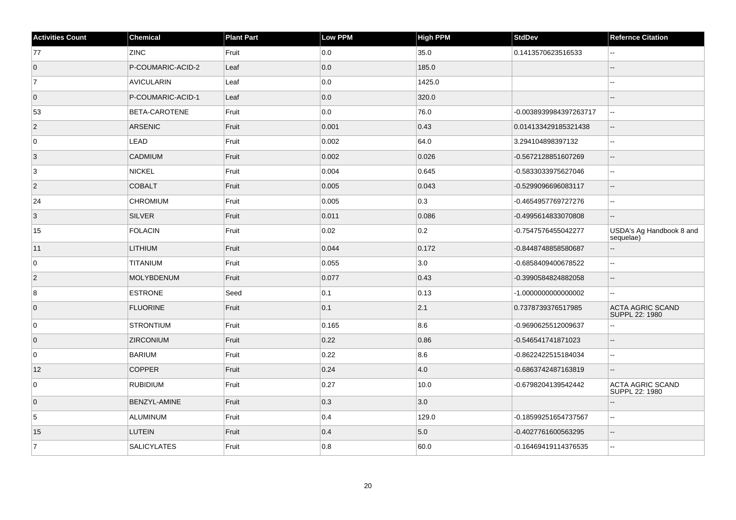| <b>Activities Count</b> | Chemical            | <b>Plant Part</b> | <b>Low PPM</b> | <b>High PPM</b> | <b>StdDev</b>          | <b>Refernce Citation</b>                  |
|-------------------------|---------------------|-------------------|----------------|-----------------|------------------------|-------------------------------------------|
| 77                      | <b>ZINC</b>         | Fruit             | 0.0            | 35.0            | 0.1413570623516533     | $\sim$ $\sim$                             |
| $\overline{0}$          | P-COUMARIC-ACID-2   | Leaf              | 0.0            | 185.0           |                        |                                           |
| $\vert$ 7               | <b>AVICULARIN</b>   | Leaf              | 0.0            | 1425.0          |                        | ۵.                                        |
| $\overline{0}$          | P-COUMARIC-ACID-1   | Leaf              | 0.0            | 320.0           |                        |                                           |
| 53                      | BETA-CAROTENE       | Fruit             | 0.0            | 76.0            | -0.0038939984397263717 | L.                                        |
| $\overline{2}$          | <b>ARSENIC</b>      | Fruit             | 0.001          | 0.43            | 0.014133429185321438   | $\overline{\phantom{a}}$                  |
| 0                       | LEAD                | Fruit             | 0.002          | 64.0            | 3.294104898397132      | $\ddotsc$                                 |
| 3                       | <b>CADMIUM</b>      | Fruit             | 0.002          | 0.026           | -0.5672128851607269    | $\sim$                                    |
| 3                       | <b>NICKEL</b>       | Fruit             | 0.004          | 0.645           | -0.5833033975627046    | $\overline{a}$                            |
| $ 2\rangle$             | <b>COBALT</b>       | Fruit             | 0.005          | 0.043           | -0.5299096696083117    | $\overline{\phantom{a}}$                  |
| 24                      | <b>CHROMIUM</b>     | Fruit             | 0.005          | 0.3             | -0.4654957769727276    | $\sim$                                    |
| 3                       | <b>SILVER</b>       | Fruit             | 0.011          | 0.086           | -0.4995614833070808    | $\sim$                                    |
| 15                      | <b>FOLACIN</b>      | Fruit             | 0.02           | 0.2             | -0.7547576455042277    | USDA's Ag Handbook 8 and<br>sequelae)     |
| 11                      | <b>LITHIUM</b>      | Fruit             | 0.044          | 0.172           | -0.8448748858580687    | $\overline{\phantom{a}}$                  |
| 0                       | <b>TITANIUM</b>     | Fruit             | 0.055          | 3.0             | -0.6858409400678522    | $\sim$                                    |
| $\overline{2}$          | <b>MOLYBDENUM</b>   | Fruit             | 0.077          | 0.43            | -0.3990584824882058    | $\overline{\phantom{a}}$                  |
| 8                       | <b>ESTRONE</b>      | Seed              | 0.1            | 0.13            | -1.000000000000002     | $\sim$                                    |
| $\overline{0}$          | <b>FLUORINE</b>     | Fruit             | 0.1            | 2.1             | 0.7378739376517985     | <b>ACTA AGRIC SCAND</b><br>SUPPL 22: 1980 |
| 0                       | <b>STRONTIUM</b>    | Fruit             | 0.165          | 8.6             | -0.9690625512009637    |                                           |
| $\overline{0}$          | <b>ZIRCONIUM</b>    | Fruit             | 0.22           | 0.86            | -0.546541741871023     | $\overline{\phantom{a}}$                  |
| 0                       | <b>BARIUM</b>       | Fruit             | 0.22           | 8.6             | -0.8622422515184034    | $\overline{a}$                            |
| 12                      | <b>COPPER</b>       | Fruit             | 0.24           | 4.0             | -0.6863742487163819    | $\sim$                                    |
| 0                       | <b>RUBIDIUM</b>     | Fruit             | 0.27           | 10.0            | -0.6798204139542442    | <b>ACTA AGRIC SCAND</b><br>SUPPL 22: 1980 |
| $\overline{0}$          | <b>BENZYL-AMINE</b> | Fruit             | 0.3            | 3.0             |                        |                                           |
| $\sqrt{5}$              | ALUMINUM            | Fruit             | 0.4            | 129.0           | -0.18599251654737567   | $\overline{a}$                            |
| 15                      | <b>LUTEIN</b>       | Fruit             | 0.4            | 5.0             | -0.4027761600563295    | $\overline{\phantom{a}}$                  |
| 7                       | <b>SALICYLATES</b>  | Fruit             | 0.8            | 60.0            | -0.16469419114376535   | $\overline{a}$                            |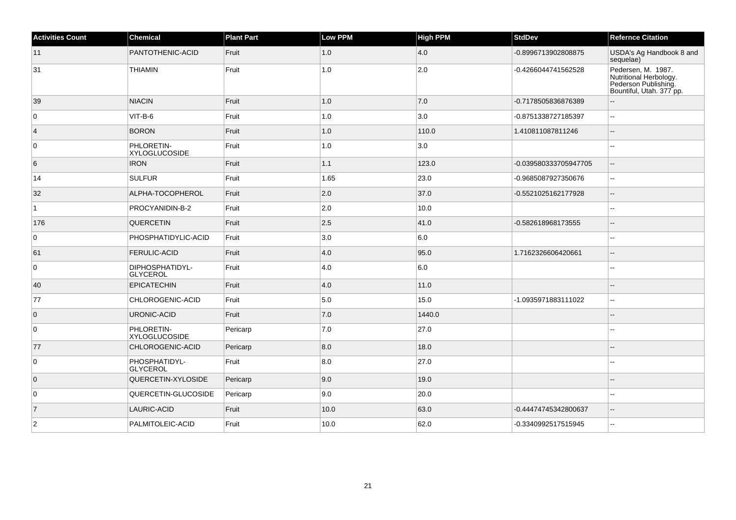| <b>Activities Count</b> | <b>Chemical</b>                    | <b>Plant Part</b> | <b>Low PPM</b> | High PPM | <b>StdDev</b>         | <b>Refernce Citation</b>                                                                         |
|-------------------------|------------------------------------|-------------------|----------------|----------|-----------------------|--------------------------------------------------------------------------------------------------|
| 11                      | PANTOTHENIC-ACID                   | Fruit             | 1.0            | 4.0      | -0.8996713902808875   | USDA's Ag Handbook 8 and<br>sequelae)                                                            |
| 31                      | <b>THIAMIN</b>                     | Fruit             | 1.0            | 2.0      | -0.4266044741562528   | Pedersen, M. 1987.<br>Nutritional Herbology.<br>Pederson Publishing.<br>Bountiful, Utah. 377 pp. |
| 39                      | <b>NIACIN</b>                      | Fruit             | 1.0            | 7.0      | -0.7178505836876389   |                                                                                                  |
| $\overline{0}$          | $VIT-B-6$                          | Fruit             | 1.0            | 3.0      | -0.8751338727185397   | $\sim$                                                                                           |
| $\vert 4 \vert$         | <b>BORON</b>                       | Fruit             | $1.0\,$        | 110.0    | 1.410811087811246     |                                                                                                  |
| 0                       | PHLORETIN-<br><b>XYLOGLUCOSIDE</b> | Fruit             | $1.0\,$        | 3.0      |                       |                                                                                                  |
| 6                       | <b>IRON</b>                        | Fruit             | 1.1            | 123.0    | -0.039580333705947705 |                                                                                                  |
| 14                      | SULFUR                             | Fruit             | 1.65           | 23.0     | -0.9685087927350676   | $\overline{a}$                                                                                   |
| 32                      | ALPHA-TOCOPHEROL                   | Fruit             | 2.0            | 37.0     | -0.5521025162177928   | $\overline{a}$                                                                                   |
| $\mathbf{1}$            | PROCYANIDIN-B-2                    | Fruit             | 2.0            | 10.0     |                       |                                                                                                  |
| 176                     | <b>QUERCETIN</b>                   | Fruit             | 2.5            | 41.0     | -0.582618968173555    |                                                                                                  |
| $\overline{0}$          | <b>PHOSPHATIDYLIC-ACID</b>         | Fruit             | 3.0            | 6.0      |                       | ٠.                                                                                               |
| 61                      | <b>FERULIC-ACID</b>                | Fruit             | 4.0            | 95.0     | 1.7162326606420661    | $\overline{\phantom{a}}$                                                                         |
| 0                       | DIPHOSPHATIDYL-<br>GLYCEROL        | Fruit             | 4.0            | 6.0      |                       | $\overline{a}$                                                                                   |
| 40                      | <b>EPICATECHIN</b>                 | Fruit             | 4.0            | 11.0     |                       |                                                                                                  |
| 77                      | CHLOROGENIC-ACID                   | Fruit             | $5.0\,$        | 15.0     | -1.0935971883111022   | $\overline{a}$                                                                                   |
| $\overline{0}$          | URONIC-ACID                        | Fruit             | $7.0$          | 1440.0   |                       |                                                                                                  |
| 0                       | PHLORETIN-<br><b>XYLOGLUCOSIDE</b> | Pericarp          | $7.0\,$        | 27.0     |                       | $\overline{\phantom{a}}$                                                                         |
| 77                      | CHLOROGENIC-ACID                   | Pericarp          | 8.0            | 18.0     |                       |                                                                                                  |
| $\overline{0}$          | PHOSPHATIDYL-<br><b>GLYCEROL</b>   | Fruit             | 8.0            | 27.0     |                       | $-$                                                                                              |
| $\overline{0}$          | QUERCETIN-XYLOSIDE                 | Pericarp          | 9.0            | 19.0     |                       |                                                                                                  |
| 0                       | QUERCETIN-GLUCOSIDE                | Pericarp          | 9.0            | 20.0     |                       |                                                                                                  |
| $\overline{7}$          | <b>LAURIC-ACID</b>                 | Fruit             | 10.0           | 63.0     | -0.44474745342800637  | $\overline{a}$                                                                                   |
| $\overline{2}$          | PALMITOLEIC-ACID                   | Fruit             | 10.0           | 62.0     | -0.3340992517515945   | $\overline{a}$                                                                                   |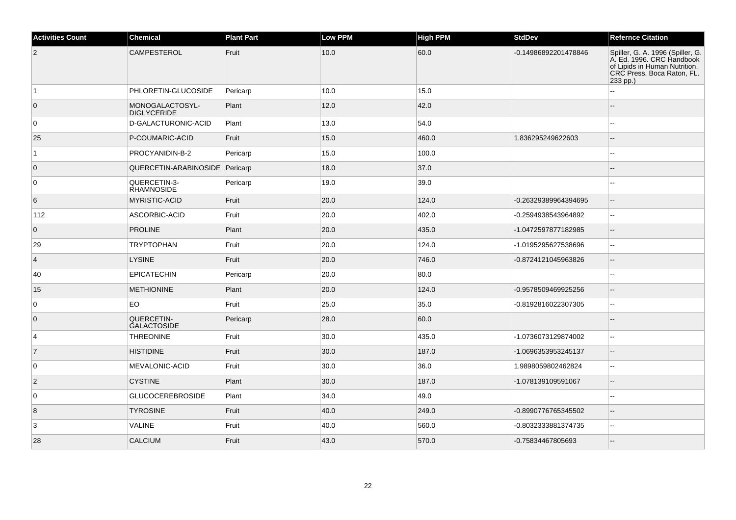| <b>Activities Count</b> | Chemical                              | <b>Plant Part</b> | <b>Low PPM</b> | <b>High PPM</b> | <b>StdDev</b>        | <b>Refernce Citation</b>                                                                                                                 |
|-------------------------|---------------------------------------|-------------------|----------------|-----------------|----------------------|------------------------------------------------------------------------------------------------------------------------------------------|
| $\vert$ 2               | CAMPESTEROL                           | Fruit             | 10.0           | 60.0            | -0.14986892201478846 | Spiller, G. A. 1996 (Spiller, G.<br>A. Ed. 1996. CRC Handbook<br>of Lipids in Human Nutrition.<br>CRC Press. Boca Raton, FL.<br>233 pp.) |
| $\overline{1}$          | PHLORETIN-GLUCOSIDE                   | Pericarp          | 10.0           | 15.0            |                      |                                                                                                                                          |
| $\overline{0}$          | MONOGALACTOSYL-<br><b>DIGLYCERIDE</b> | Plant             | 12.0           | 42.0            |                      |                                                                                                                                          |
| 0                       | D-GALACTURONIC-ACID                   | Plant             | 13.0           | 54.0            |                      |                                                                                                                                          |
| 25                      | P-COUMARIC-ACID                       | Fruit             | 15.0           | 460.0           | 1.836295249622603    | $\overline{\phantom{a}}$                                                                                                                 |
| $\overline{1}$          | PROCYANIDIN-B-2                       | Pericarp          | 15.0           | 100.0           |                      | $\sim$                                                                                                                                   |
| $\overline{0}$          | QUERCETIN-ARABINOSIDE Pericarp        |                   | 18.0           | 37.0            |                      |                                                                                                                                          |
| 0                       | QUERCETIN-3-<br><b>RHAMNOSIDE</b>     | Pericarp          | 19.0           | 39.0            |                      |                                                                                                                                          |
| 6                       | <b>MYRISTIC-ACID</b>                  | Fruit             | 20.0           | 124.0           | -0.26329389964394695 | $\overline{a}$                                                                                                                           |
| 112                     | ASCORBIC-ACID                         | Fruit             | 20.0           | 402.0           | -0.2594938543964892  |                                                                                                                                          |
| $\overline{0}$          | <b>PROLINE</b>                        | Plant             | 20.0           | 435.0           | -1.0472597877182985  |                                                                                                                                          |
| 29                      | <b>TRYPTOPHAN</b>                     | Fruit             | 20.0           | 124.0           | -1.0195295627538696  | $\overline{\phantom{a}}$                                                                                                                 |
| $\vert$ 4               | <b>LYSINE</b>                         | Fruit             | 20.0           | 746.0           | -0.8724121045963826  | $\sim$                                                                                                                                   |
| 40                      | <b>EPICATECHIN</b>                    | Pericarp          | 20.0           | 80.0            |                      |                                                                                                                                          |
| 15                      | <b>METHIONINE</b>                     | Plant             | 20.0           | 124.0           | -0.9578509469925256  | $\overline{\phantom{a}}$                                                                                                                 |
| $\overline{0}$          | EO                                    | Fruit             | 25.0           | 35.0            | -0.8192816022307305  | $\sim$                                                                                                                                   |
| $\overline{0}$          | QUERCETIN-<br><b>GALACTOSIDE</b>      | Pericarp          | 28.0           | 60.0            |                      |                                                                                                                                          |
| $\overline{4}$          | <b>THREONINE</b>                      | Fruit             | 30.0           | 435.0           | -1.0736073129874002  | $\sim$                                                                                                                                   |
| $\vert$ 7               | <b>HISTIDINE</b>                      | Fruit             | 30.0           | 187.0           | -1.0696353953245137  | $\overline{\phantom{a}}$                                                                                                                 |
| 0                       | <b>MEVALONIC-ACID</b>                 | Fruit             | 30.0           | 36.0            | 1.9898059802462824   |                                                                                                                                          |
| $ 2\rangle$             | <b>CYSTINE</b>                        | Plant             | 30.0           | 187.0           | -1.078139109591067   |                                                                                                                                          |
| 0                       | <b>GLUCOCEREBROSIDE</b>               | Plant             | 34.0           | 49.0            |                      | ä.                                                                                                                                       |
| $\overline{8}$          | <b>TYROSINE</b>                       | Fruit             | 40.0           | 249.0           | -0.8990776765345502  | $\overline{a}$                                                                                                                           |
| 3                       | <b>VALINE</b>                         | Fruit             | 40.0           | 560.0           | -0.8032333881374735  | $\mathbf{u}$                                                                                                                             |
| 28                      | <b>CALCIUM</b>                        | Fruit             | 43.0           | 570.0           | -0.75834467805693    |                                                                                                                                          |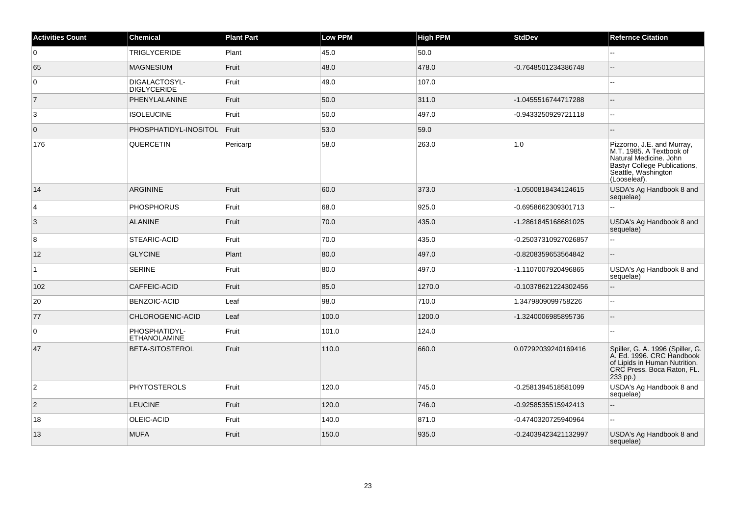| <b>Activities Count</b> | <b>Chemical</b>                      | <b>Plant Part</b> | <b>Low PPM</b> | High PPM | <b>StdDev</b>        | <b>Refernce Citation</b>                                                                                                                                |
|-------------------------|--------------------------------------|-------------------|----------------|----------|----------------------|---------------------------------------------------------------------------------------------------------------------------------------------------------|
| $\overline{0}$          | <b>TRIGLYCERIDE</b>                  | Plant             | 45.0           | 50.0     |                      |                                                                                                                                                         |
| 65                      | <b>MAGNESIUM</b>                     | Fruit             | 48.0           | 478.0    | -0.7648501234386748  | $\overline{a}$                                                                                                                                          |
| $\overline{0}$          | DIGALACTOSYL-<br><b>DIGLYCERIDE</b>  | Fruit             | 49.0           | 107.0    |                      | $\sim$                                                                                                                                                  |
| $\overline{7}$          | PHENYLALANINE                        | Fruit             | 50.0           | 311.0    | -1.0455516744717288  | ÷.                                                                                                                                                      |
| 3                       | <b>ISOLEUCINE</b>                    | Fruit             | 50.0           | 497.0    | -0.9433250929721118  | $\sim$                                                                                                                                                  |
| $\overline{0}$          | PHOSPHATIDYL-INOSITOL                | Fruit             | 53.0           | 59.0     |                      |                                                                                                                                                         |
| 176                     | QUERCETIN                            | Pericarp          | 58.0           | 263.0    | 1.0                  | Pizzorno, J.E. and Murray,<br>M.T. 1985. A Textbook of<br>Natural Medicine. John<br>Bastyr College Publications,<br>Seattle, Washington<br>(Looseleaf). |
| 14                      | <b>ARGININE</b>                      | Fruit             | 60.0           | 373.0    | -1.0500818434124615  | USDA's Ag Handbook 8 and<br>sequelae)                                                                                                                   |
| $\overline{4}$          | <b>PHOSPHORUS</b>                    | Fruit             | 68.0           | 925.0    | -0.6958662309301713  | $\ddotsc$                                                                                                                                               |
| $\overline{3}$          | <b>ALANINE</b>                       | Fruit             | 70.0           | 435.0    | -1.2861845168681025  | USDA's Ag Handbook 8 and<br>sequelae)                                                                                                                   |
| 8                       | STEARIC-ACID                         | Fruit             | 70.0           | 435.0    | -0.25037310927026857 | ä.                                                                                                                                                      |
| 12                      | <b>GLYCINE</b>                       | Plant             | 80.0           | 497.0    | -0.8208359653564842  | $\overline{a}$                                                                                                                                          |
| $\overline{1}$          | <b>SERINE</b>                        | Fruit             | 80.0           | 497.0    | -1.1107007920496865  | USDA's Ag Handbook 8 and<br>sequelae)                                                                                                                   |
| 102                     | <b>CAFFEIC-ACID</b>                  | Fruit             | 85.0           | 1270.0   | -0.10378621224302456 | $-$                                                                                                                                                     |
| 20                      | <b>BENZOIC-ACID</b>                  | Leaf              | 98.0           | 710.0    | 1.3479809099758226   | $\overline{\phantom{a}}$                                                                                                                                |
| 77                      | CHLOROGENIC-ACID                     | Leaf              | 100.0          | 1200.0   | -1.3240006985895736  | $\sim$                                                                                                                                                  |
| $\overline{0}$          | PHOSPHATIDYL-<br><b>ETHANOLAMINE</b> | Fruit             | 101.0          | 124.0    |                      |                                                                                                                                                         |
| 47                      | BETA-SITOSTEROL                      | Fruit             | 110.0          | 660.0    | 0.07292039240169416  | Spiller, G. A. 1996 (Spiller, G.<br>A. Ed. 1996. CRC Handbook<br>of Lipids in Human Nutrition.<br>CRC Press. Boca Raton, FL.<br>233 pp.)                |
| $\overline{2}$          | <b>PHYTOSTEROLS</b>                  | Fruit             | 120.0          | 745.0    | -0.2581394518581099  | USDA's Ag Handbook 8 and<br>sequelae)                                                                                                                   |
| $\overline{2}$          | <b>LEUCINE</b>                       | Fruit             | 120.0          | 746.0    | -0.9258535515942413  | $\mathbf{u}$                                                                                                                                            |
| 18                      | OLEIC-ACID                           | Fruit             | 140.0          | 871.0    | -0.4740320725940964  | $\overline{a}$                                                                                                                                          |
| 13                      | <b>MUFA</b>                          | Fruit             | 150.0          | 935.0    | -0.24039423421132997 | USDA's Ag Handbook 8 and<br>sequelae)                                                                                                                   |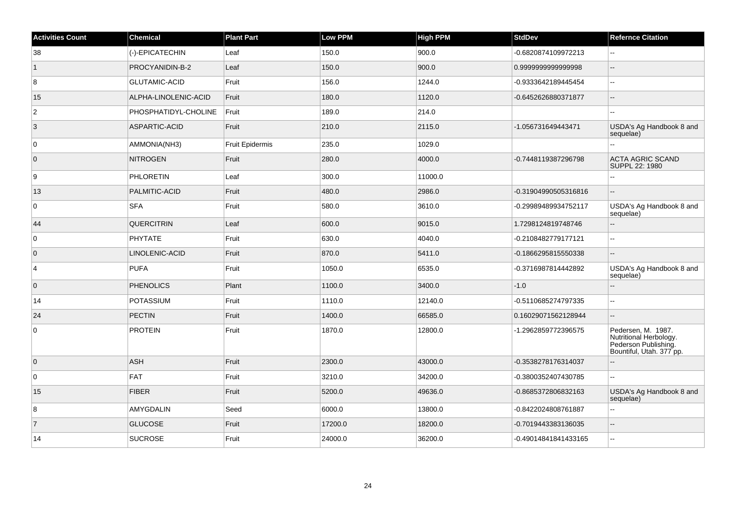| <b>Activities Count</b> | <b>Chemical</b>      | <b>Plant Part</b>      | <b>Low PPM</b> | <b>High PPM</b> | <b>StdDev</b>        | <b>Refernce Citation</b>                                                                         |
|-------------------------|----------------------|------------------------|----------------|-----------------|----------------------|--------------------------------------------------------------------------------------------------|
| 38                      | (-)-EPICATECHIN      | Leaf                   | 150.0          | 900.0           | -0.6820874109972213  | шш.                                                                                              |
| $\overline{1}$          | PROCYANIDIN-B-2      | Leaf                   | 150.0          | 900.0           | 0.999999999999998    | ۵.                                                                                               |
| 8                       | <b>GLUTAMIC-ACID</b> | Fruit                  | 156.0          | 1244.0          | -0.9333642189445454  | Щ,                                                                                               |
| 15                      | ALPHA-LINOLENIC-ACID | Fruit                  | 180.0          | 1120.0          | -0.6452626880371877  | ш,                                                                                               |
| $\overline{2}$          | PHOSPHATIDYL-CHOLINE | Fruit                  | 189.0          | 214.0           |                      |                                                                                                  |
| $\overline{3}$          | ASPARTIC-ACID        | Fruit                  | 210.0          | 2115.0          | -1.056731649443471   | USDA's Ag Handbook 8 and<br>sequelae)                                                            |
| $\overline{0}$          | AMMONIA(NH3)         | <b>Fruit Epidermis</b> | 235.0          | 1029.0          |                      | Щ,                                                                                               |
| $\overline{0}$          | <b>NITROGEN</b>      | Fruit                  | 280.0          | 4000.0          | -0.7448119387296798  | <b>ACTA AGRIC SCAND</b><br>SUPPL 22: 1980                                                        |
| 9                       | <b>PHLORETIN</b>     | Leaf                   | 300.0          | 11000.0         |                      |                                                                                                  |
| 13                      | PALMITIC-ACID        | Fruit                  | 480.0          | 2986.0          | -0.31904990505316816 |                                                                                                  |
| 0                       | <b>SFA</b>           | Fruit                  | 580.0          | 3610.0          | -0.29989489934752117 | USDA's Ag Handbook 8 and<br>sequelae)                                                            |
| 44                      | <b>QUERCITRIN</b>    | Leaf                   | 600.0          | 9015.0          | 1.7298124819748746   | $-$                                                                                              |
| 0                       | PHYTATE              | Fruit                  | 630.0          | 4040.0          | -0.2108482779177121  | шш.                                                                                              |
| $\overline{0}$          | LINOLENIC-ACID       | Fruit                  | 870.0          | 5411.0          | -0.1866295815550338  | L.                                                                                               |
| $\overline{4}$          | <b>PUFA</b>          | Fruit                  | 1050.0         | 6535.0          | -0.3716987814442892  | USDA's Ag Handbook 8 and<br>sequelae)                                                            |
| $\overline{0}$          | <b>PHENOLICS</b>     | Plant                  | 1100.0         | 3400.0          | $-1.0$               |                                                                                                  |
| 14                      | <b>POTASSIUM</b>     | Fruit                  | 1110.0         | 12140.0         | -0.5110685274797335  | $\overline{\phantom{a}}$                                                                         |
| 24                      | <b>PECTIN</b>        | Fruit                  | 1400.0         | 66585.0         | 0.16029071562128944  | $\overline{a}$                                                                                   |
| 0                       | <b>PROTEIN</b>       | Fruit                  | 1870.0         | 12800.0         | -1.2962859772396575  | Pedersen, M. 1987.<br>Nutritional Herbology.<br>Pederson Publishing.<br>Bountiful, Utah. 377 pp. |
| $\overline{0}$          | ASH                  | Fruit                  | 2300.0         | 43000.0         | -0.3538278176314037  |                                                                                                  |
| 0                       | <b>FAT</b>           | Fruit                  | 3210.0         | 34200.0         | -0.3800352407430785  | шш.                                                                                              |
| 15                      | <b>FIBER</b>         | Fruit                  | 5200.0         | 49636.0         | -0.8685372806832163  | USDA's Ag Handbook 8 and<br>sequelae)                                                            |
| 8                       | AMYGDALIN            | Seed                   | 6000.0         | 13800.0         | -0.8422024808761887  | L.                                                                                               |
| $\overline{7}$          | <b>GLUCOSE</b>       | Fruit                  | 17200.0        | 18200.0         | -0.7019443383136035  | ۵.                                                                                               |
| 14                      | <b>SUCROSE</b>       | Fruit                  | 24000.0        | 36200.0         | -0.49014841841433165 | 44                                                                                               |